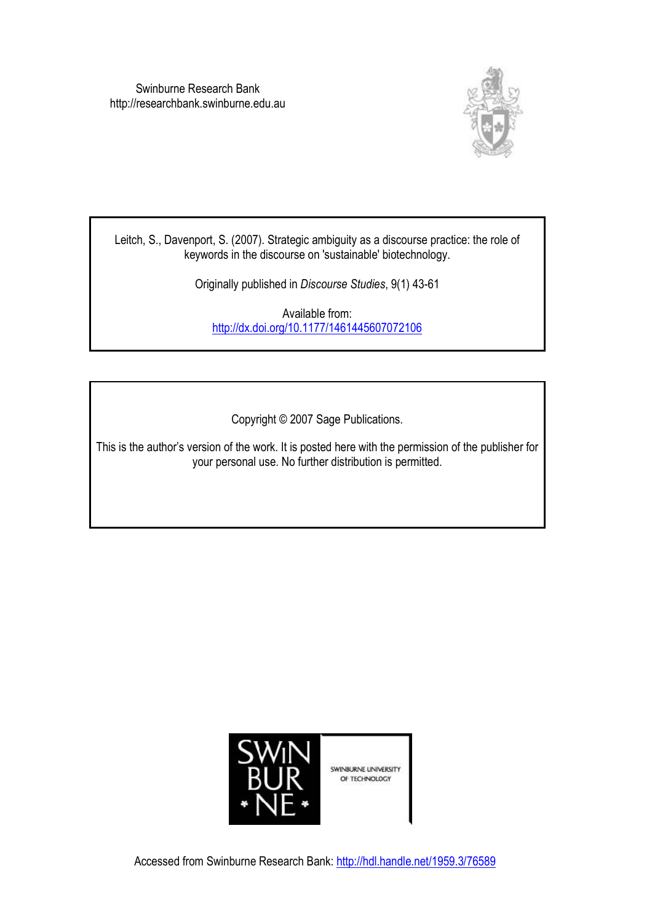

Leitch, S., Davenport, S. (2007). Strategic ambiguity as a discourse practice: the role of keywords in the discourse on 'sustainable' biotechnology.

Originally published in Discourse Studies, 9(1) 43-61

Available from: http://dx.doi.org/10.1177/1461445607072106

Copyright © 2007 Sage Publications.

This is the author's version of the work. It is posted here with the permission of the publisher for your personal use. No further distribution is permitted.



Accessed from Swinburne Research Bank: http://hdl.handle.net/1959.3/76589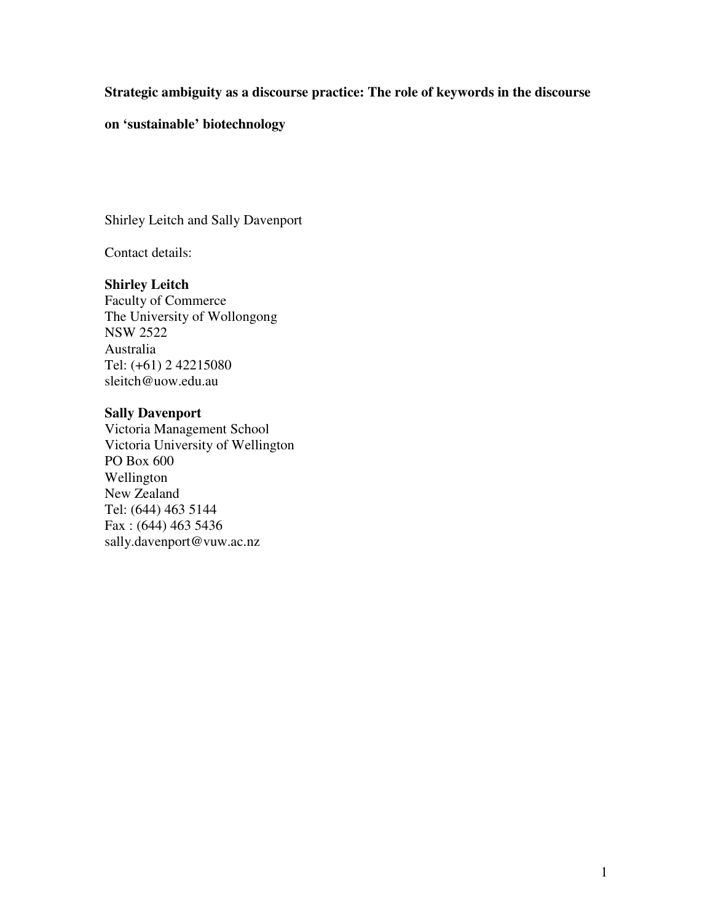# **Strategic ambiguity as a discourse practice: The role of keywords in the discourse**

# **on 'sustainable' biotechnology**

Shirley Leitch and Sally Davenport

Contact details:

# **Shirley Leitch**

Faculty of Commerce The University of Wollongong NSW 2522 Australia Tel: (+61) 2 42215080 sleitch@uow.edu.au

# **Sally Davenport**

Victoria Management School Victoria University of Wellington PO Box 600 Wellington New Zealand Tel: (644) 463 5144 Fax : (644) 463 5436 sally.davenport@vuw.ac.nz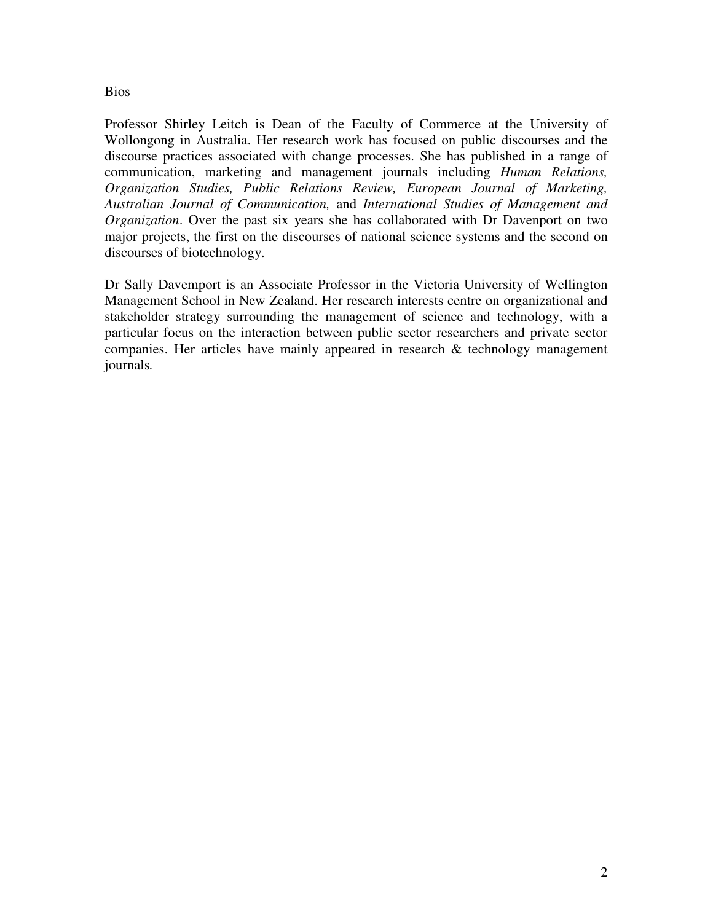# **Bios**

Professor Shirley Leitch is Dean of the Faculty of Commerce at the University of Wollongong in Australia. Her research work has focused on public discourses and the discourse practices associated with change processes. She has published in a range of communication, marketing and management journals including *Human Relations, Organization Studies, Public Relations Review, European Journal of Marketing, Australian Journal of Communication,* and *International Studies of Management and Organization*. Over the past six years she has collaborated with Dr Davenport on two major projects, the first on the discourses of national science systems and the second on discourses of biotechnology.

Dr Sally Davemport is an Associate Professor in the Victoria University of Wellington Management School in New Zealand. Her research interests centre on organizational and stakeholder strategy surrounding the management of science and technology, with a particular focus on the interaction between public sector researchers and private sector companies. Her articles have mainly appeared in research & technology management journals*.*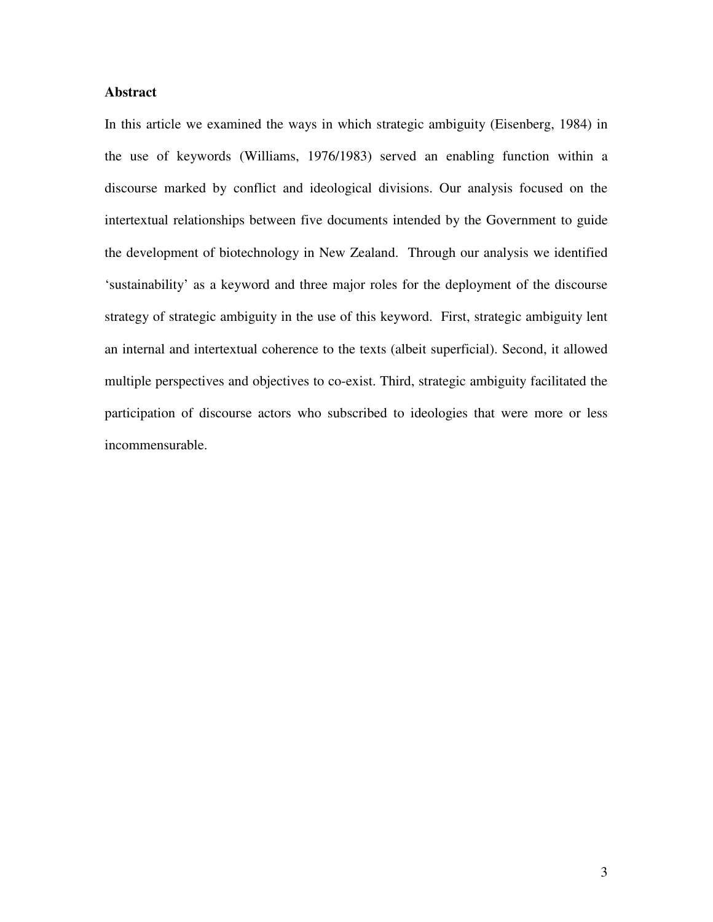# **Abstract**

In this article we examined the ways in which strategic ambiguity (Eisenberg, 1984) in the use of keywords (Williams, 1976/1983) served an enabling function within a discourse marked by conflict and ideological divisions. Our analysis focused on the intertextual relationships between five documents intended by the Government to guide the development of biotechnology in New Zealand. Through our analysis we identified 'sustainability' as a keyword and three major roles for the deployment of the discourse strategy of strategic ambiguity in the use of this keyword. First, strategic ambiguity lent an internal and intertextual coherence to the texts (albeit superficial). Second, it allowed multiple perspectives and objectives to co-exist. Third, strategic ambiguity facilitated the participation of discourse actors who subscribed to ideologies that were more or less incommensurable.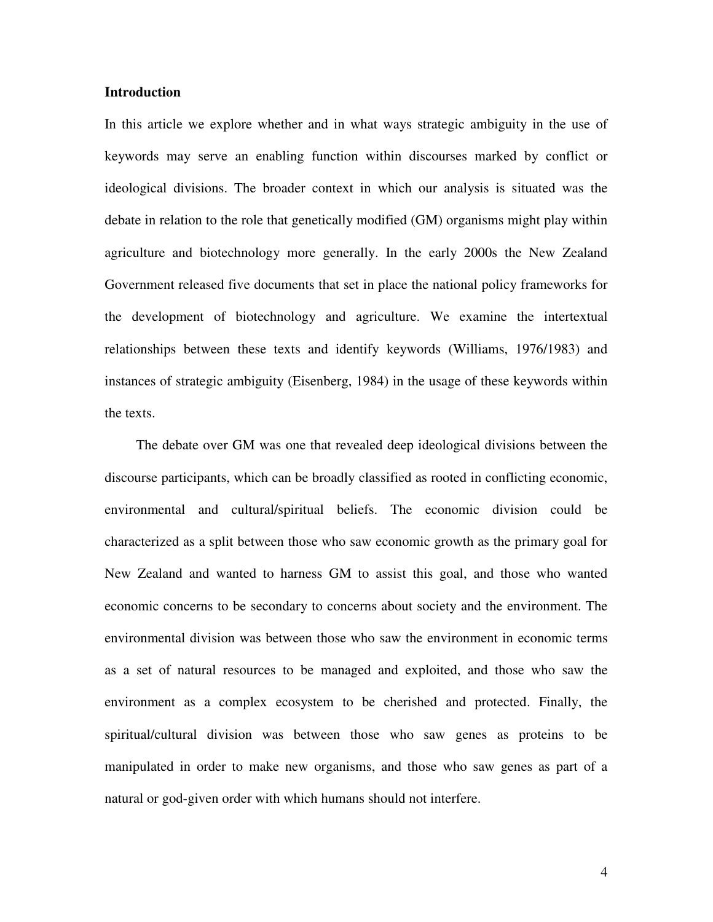## **Introduction**

In this article we explore whether and in what ways strategic ambiguity in the use of keywords may serve an enabling function within discourses marked by conflict or ideological divisions. The broader context in which our analysis is situated was the debate in relation to the role that genetically modified (GM) organisms might play within agriculture and biotechnology more generally. In the early 2000s the New Zealand Government released five documents that set in place the national policy frameworks for the development of biotechnology and agriculture. We examine the intertextual relationships between these texts and identify keywords (Williams, 1976/1983) and instances of strategic ambiguity (Eisenberg, 1984) in the usage of these keywords within the texts.

 The debate over GM was one that revealed deep ideological divisions between the discourse participants, which can be broadly classified as rooted in conflicting economic, environmental and cultural/spiritual beliefs. The economic division could be characterized as a split between those who saw economic growth as the primary goal for New Zealand and wanted to harness GM to assist this goal, and those who wanted economic concerns to be secondary to concerns about society and the environment. The environmental division was between those who saw the environment in economic terms as a set of natural resources to be managed and exploited, and those who saw the environment as a complex ecosystem to be cherished and protected. Finally, the spiritual/cultural division was between those who saw genes as proteins to be manipulated in order to make new organisms, and those who saw genes as part of a natural or god-given order with which humans should not interfere.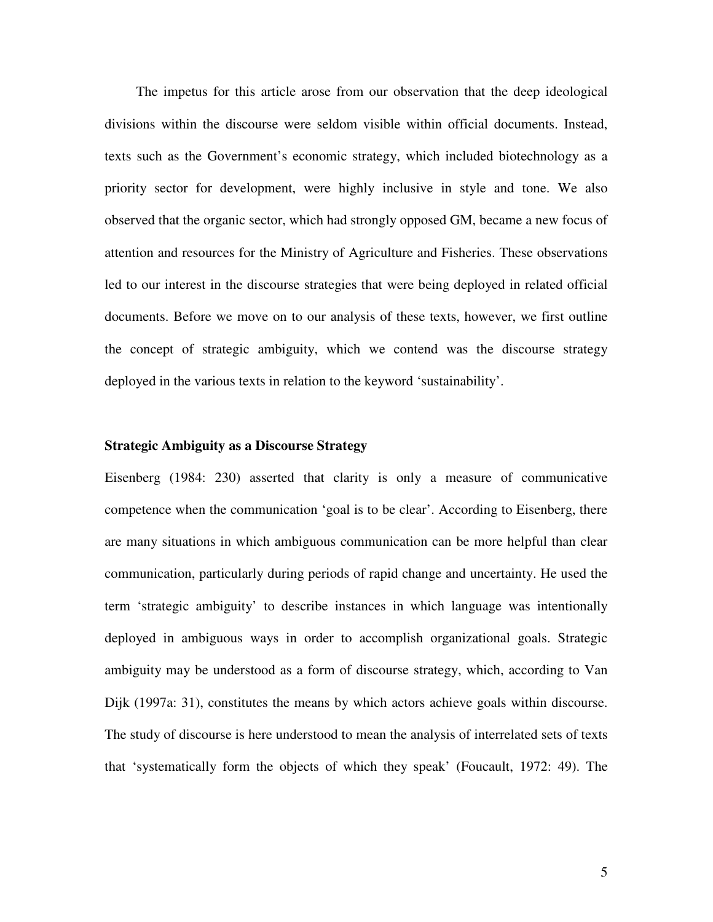The impetus for this article arose from our observation that the deep ideological divisions within the discourse were seldom visible within official documents. Instead, texts such as the Government's economic strategy, which included biotechnology as a priority sector for development, were highly inclusive in style and tone. We also observed that the organic sector, which had strongly opposed GM, became a new focus of attention and resources for the Ministry of Agriculture and Fisheries. These observations led to our interest in the discourse strategies that were being deployed in related official documents. Before we move on to our analysis of these texts, however, we first outline the concept of strategic ambiguity, which we contend was the discourse strategy deployed in the various texts in relation to the keyword 'sustainability'.

## **Strategic Ambiguity as a Discourse Strategy**

Eisenberg (1984: 230) asserted that clarity is only a measure of communicative competence when the communication 'goal is to be clear'. According to Eisenberg, there are many situations in which ambiguous communication can be more helpful than clear communication, particularly during periods of rapid change and uncertainty. He used the term 'strategic ambiguity' to describe instances in which language was intentionally deployed in ambiguous ways in order to accomplish organizational goals. Strategic ambiguity may be understood as a form of discourse strategy, which, according to Van Dijk (1997a: 31), constitutes the means by which actors achieve goals within discourse. The study of discourse is here understood to mean the analysis of interrelated sets of texts that 'systematically form the objects of which they speak' (Foucault, 1972: 49). The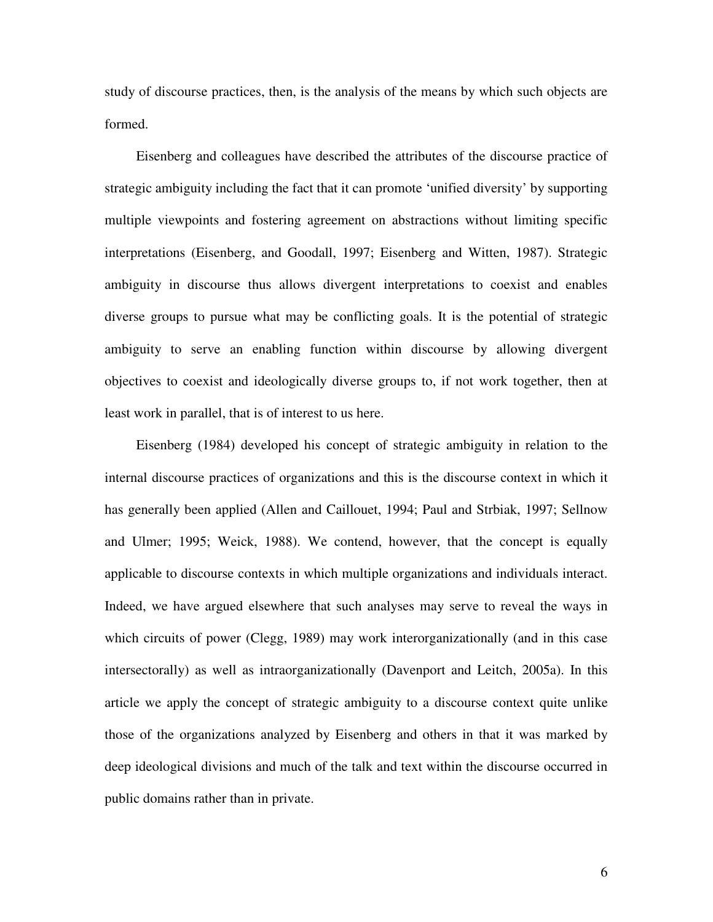study of discourse practices, then, is the analysis of the means by which such objects are formed.

 Eisenberg and colleagues have described the attributes of the discourse practice of strategic ambiguity including the fact that it can promote 'unified diversity' by supporting multiple viewpoints and fostering agreement on abstractions without limiting specific interpretations (Eisenberg, and Goodall, 1997; Eisenberg and Witten, 1987). Strategic ambiguity in discourse thus allows divergent interpretations to coexist and enables diverse groups to pursue what may be conflicting goals. It is the potential of strategic ambiguity to serve an enabling function within discourse by allowing divergent objectives to coexist and ideologically diverse groups to, if not work together, then at least work in parallel, that is of interest to us here.

 Eisenberg (1984) developed his concept of strategic ambiguity in relation to the internal discourse practices of organizations and this is the discourse context in which it has generally been applied (Allen and Caillouet, 1994; Paul and Strbiak, 1997; Sellnow and Ulmer; 1995; Weick, 1988). We contend, however, that the concept is equally applicable to discourse contexts in which multiple organizations and individuals interact. Indeed, we have argued elsewhere that such analyses may serve to reveal the ways in which circuits of power (Clegg, 1989) may work interorganizationally (and in this case intersectorally) as well as intraorganizationally (Davenport and Leitch, 2005a). In this article we apply the concept of strategic ambiguity to a discourse context quite unlike those of the organizations analyzed by Eisenberg and others in that it was marked by deep ideological divisions and much of the talk and text within the discourse occurred in public domains rather than in private.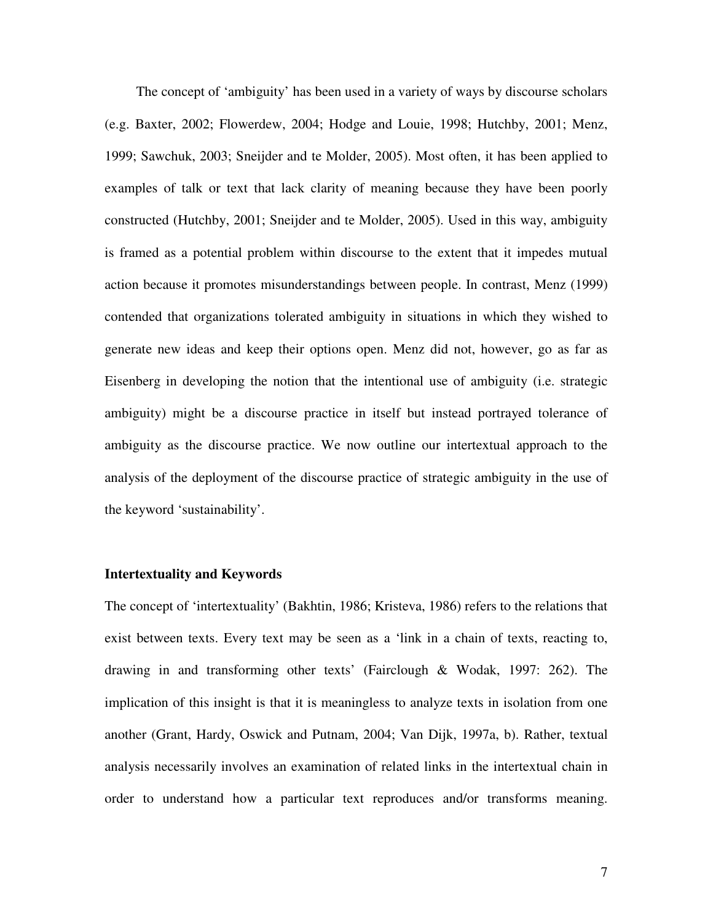The concept of 'ambiguity' has been used in a variety of ways by discourse scholars (e.g. Baxter, 2002; Flowerdew, 2004; Hodge and Louie, 1998; Hutchby, 2001; Menz, 1999; Sawchuk, 2003; Sneijder and te Molder, 2005). Most often, it has been applied to examples of talk or text that lack clarity of meaning because they have been poorly constructed (Hutchby, 2001; Sneijder and te Molder, 2005). Used in this way, ambiguity is framed as a potential problem within discourse to the extent that it impedes mutual action because it promotes misunderstandings between people. In contrast, Menz (1999) contended that organizations tolerated ambiguity in situations in which they wished to generate new ideas and keep their options open. Menz did not, however, go as far as Eisenberg in developing the notion that the intentional use of ambiguity (i.e. strategic ambiguity) might be a discourse practice in itself but instead portrayed tolerance of ambiguity as the discourse practice. We now outline our intertextual approach to the analysis of the deployment of the discourse practice of strategic ambiguity in the use of the keyword 'sustainability'.

## **Intertextuality and Keywords**

The concept of 'intertextuality' (Bakhtin, 1986; Kristeva, 1986) refers to the relations that exist between texts. Every text may be seen as a 'link in a chain of texts, reacting to, drawing in and transforming other texts' (Fairclough & Wodak, 1997: 262). The implication of this insight is that it is meaningless to analyze texts in isolation from one another (Grant, Hardy, Oswick and Putnam, 2004; Van Dijk, 1997a, b). Rather, textual analysis necessarily involves an examination of related links in the intertextual chain in order to understand how a particular text reproduces and/or transforms meaning.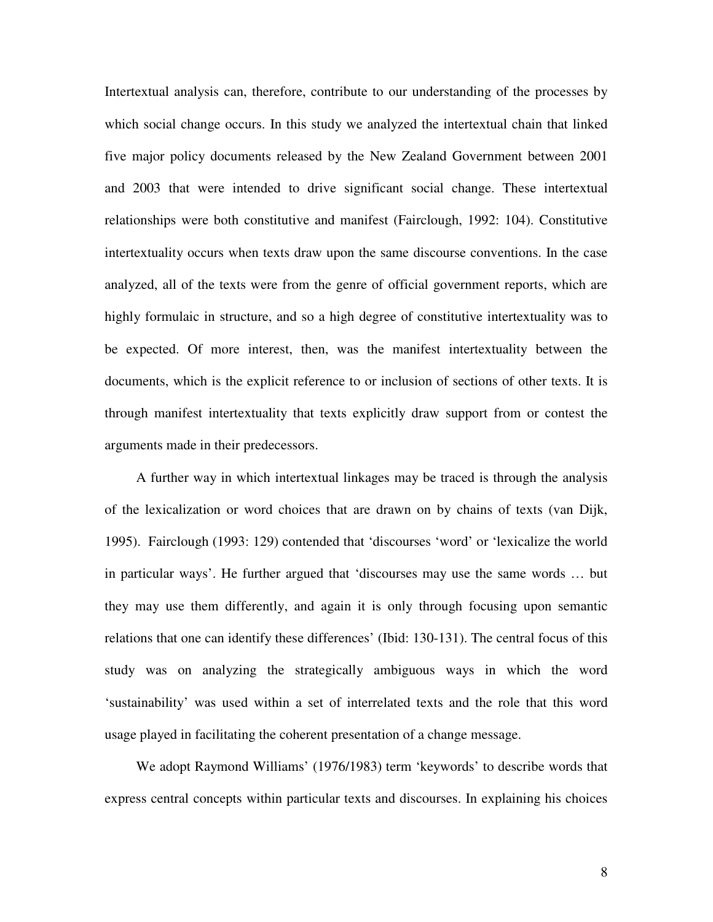Intertextual analysis can, therefore, contribute to our understanding of the processes by which social change occurs. In this study we analyzed the intertextual chain that linked five major policy documents released by the New Zealand Government between 2001 and 2003 that were intended to drive significant social change. These intertextual relationships were both constitutive and manifest (Fairclough, 1992: 104). Constitutive intertextuality occurs when texts draw upon the same discourse conventions. In the case analyzed, all of the texts were from the genre of official government reports, which are highly formulaic in structure, and so a high degree of constitutive intertextuality was to be expected. Of more interest, then, was the manifest intertextuality between the documents, which is the explicit reference to or inclusion of sections of other texts. It is through manifest intertextuality that texts explicitly draw support from or contest the arguments made in their predecessors.

 A further way in which intertextual linkages may be traced is through the analysis of the lexicalization or word choices that are drawn on by chains of texts (van Dijk, 1995). Fairclough (1993: 129) contended that 'discourses 'word' or 'lexicalize the world in particular ways'. He further argued that 'discourses may use the same words … but they may use them differently, and again it is only through focusing upon semantic relations that one can identify these differences' (Ibid: 130-131). The central focus of this study was on analyzing the strategically ambiguous ways in which the word 'sustainability' was used within a set of interrelated texts and the role that this word usage played in facilitating the coherent presentation of a change message.

 We adopt Raymond Williams' (1976/1983) term 'keywords' to describe words that express central concepts within particular texts and discourses. In explaining his choices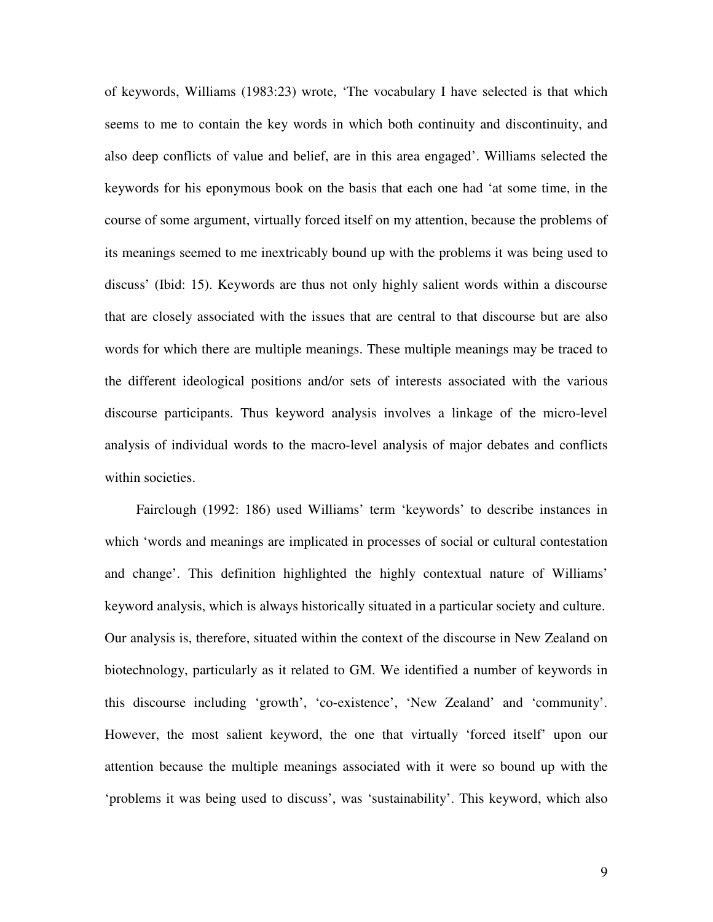of keywords, Williams (1983:23) wrote, 'The vocabulary I have selected is that which seems to me to contain the key words in which both continuity and discontinuity, and also deep conflicts of value and belief, are in this area engaged'. Williams selected the keywords for his eponymous book on the basis that each one had 'at some time, in the course of some argument, virtually forced itself on my attention, because the problems of its meanings seemed to me inextricably bound up with the problems it was being used to discuss' (Ibid: 15). Keywords are thus not only highly salient words within a discourse that are closely associated with the issues that are central to that discourse but are also words for which there are multiple meanings. These multiple meanings may be traced to the different ideological positions and/or sets of interests associated with the various discourse participants. Thus keyword analysis involves a linkage of the micro-level analysis of individual words to the macro-level analysis of major debates and conflicts within societies.

 Fairclough (1992: 186) used Williams' term 'keywords' to describe instances in which 'words and meanings are implicated in processes of social or cultural contestation and change'. This definition highlighted the highly contextual nature of Williams' keyword analysis, which is always historically situated in a particular society and culture. Our analysis is, therefore, situated within the context of the discourse in New Zealand on biotechnology, particularly as it related to GM. We identified a number of keywords in this discourse including 'growth', 'co-existence', 'New Zealand' and 'community'. However, the most salient keyword, the one that virtually 'forced itself' upon our attention because the multiple meanings associated with it were so bound up with the 'problems it was being used to discuss', was 'sustainability'. This keyword, which also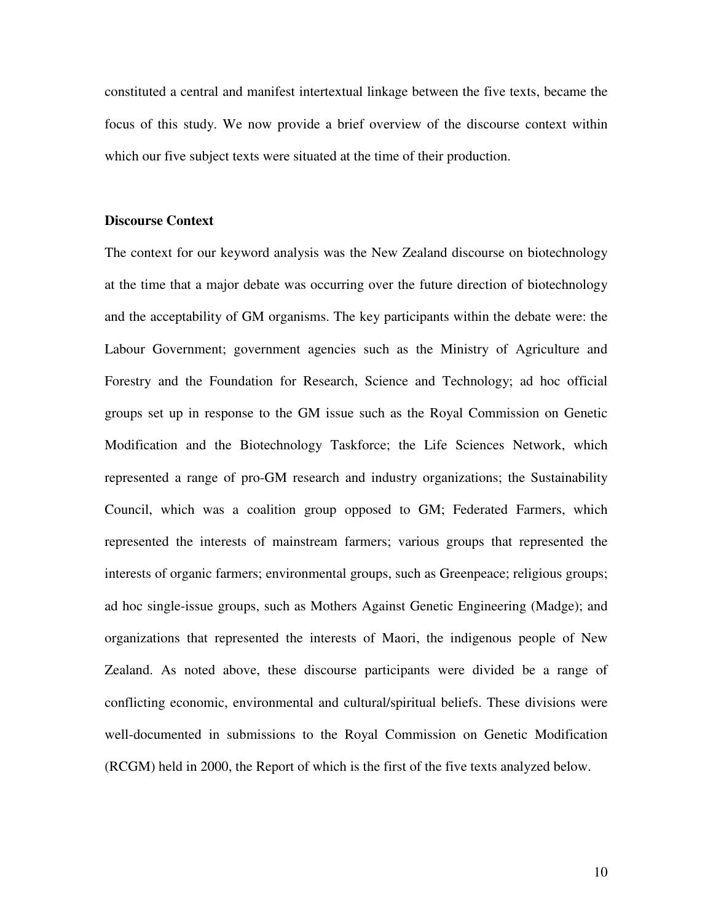constituted a central and manifest intertextual linkage between the five texts, became the focus of this study. We now provide a brief overview of the discourse context within which our five subject texts were situated at the time of their production.

## **Discourse Context**

The context for our keyword analysis was the New Zealand discourse on biotechnology at the time that a major debate was occurring over the future direction of biotechnology and the acceptability of GM organisms. The key participants within the debate were: the Labour Government; government agencies such as the Ministry of Agriculture and Forestry and the Foundation for Research, Science and Technology; ad hoc official groups set up in response to the GM issue such as the Royal Commission on Genetic Modification and the Biotechnology Taskforce; the Life Sciences Network, which represented a range of pro-GM research and industry organizations; the Sustainability Council, which was a coalition group opposed to GM; Federated Farmers, which represented the interests of mainstream farmers; various groups that represented the interests of organic farmers; environmental groups, such as Greenpeace; religious groups; ad hoc single-issue groups, such as Mothers Against Genetic Engineering (Madge); and organizations that represented the interests of Maori, the indigenous people of New Zealand. As noted above, these discourse participants were divided be a range of conflicting economic, environmental and cultural/spiritual beliefs. These divisions were well-documented in submissions to the Royal Commission on Genetic Modification (RCGM) held in 2000, the Report of which is the first of the five texts analyzed below.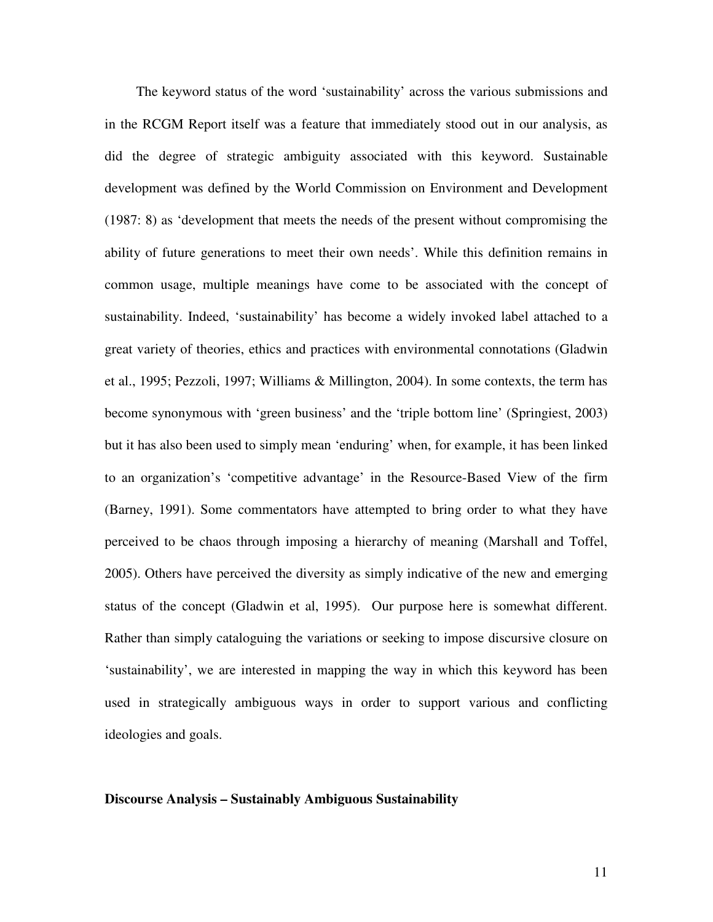The keyword status of the word 'sustainability' across the various submissions and in the RCGM Report itself was a feature that immediately stood out in our analysis, as did the degree of strategic ambiguity associated with this keyword. Sustainable development was defined by the World Commission on Environment and Development (1987: 8) as 'development that meets the needs of the present without compromising the ability of future generations to meet their own needs'. While this definition remains in common usage, multiple meanings have come to be associated with the concept of sustainability. Indeed, 'sustainability' has become a widely invoked label attached to a great variety of theories, ethics and practices with environmental connotations (Gladwin et al., 1995; Pezzoli, 1997; Williams & Millington, 2004). In some contexts, the term has become synonymous with 'green business' and the 'triple bottom line' (Springiest, 2003) but it has also been used to simply mean 'enduring' when, for example, it has been linked to an organization's 'competitive advantage' in the Resource-Based View of the firm (Barney, 1991). Some commentators have attempted to bring order to what they have perceived to be chaos through imposing a hierarchy of meaning (Marshall and Toffel, 2005). Others have perceived the diversity as simply indicative of the new and emerging status of the concept (Gladwin et al, 1995). Our purpose here is somewhat different. Rather than simply cataloguing the variations or seeking to impose discursive closure on 'sustainability', we are interested in mapping the way in which this keyword has been used in strategically ambiguous ways in order to support various and conflicting ideologies and goals.

#### **Discourse Analysis – Sustainably Ambiguous Sustainability**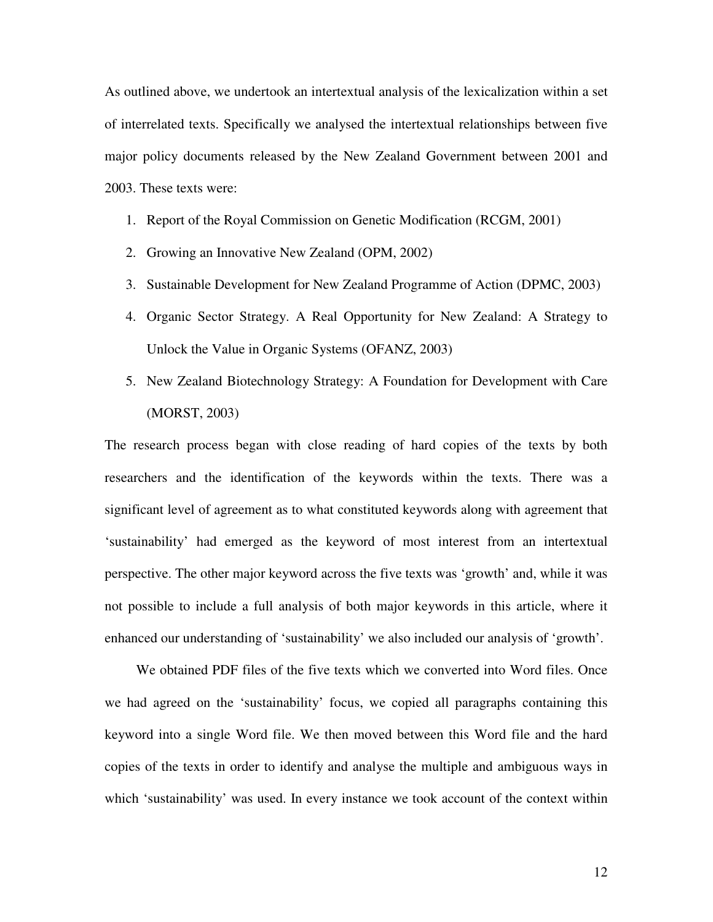As outlined above, we undertook an intertextual analysis of the lexicalization within a set of interrelated texts. Specifically we analysed the intertextual relationships between five major policy documents released by the New Zealand Government between 2001 and 2003. These texts were:

- 1. Report of the Royal Commission on Genetic Modification (RCGM, 2001)
- 2. Growing an Innovative New Zealand (OPM, 2002)
- 3. Sustainable Development for New Zealand Programme of Action (DPMC, 2003)
- 4. Organic Sector Strategy. A Real Opportunity for New Zealand: A Strategy to Unlock the Value in Organic Systems (OFANZ, 2003)
- 5. New Zealand Biotechnology Strategy: A Foundation for Development with Care (MORST, 2003)

The research process began with close reading of hard copies of the texts by both researchers and the identification of the keywords within the texts. There was a significant level of agreement as to what constituted keywords along with agreement that 'sustainability' had emerged as the keyword of most interest from an intertextual perspective. The other major keyword across the five texts was 'growth' and, while it was not possible to include a full analysis of both major keywords in this article, where it enhanced our understanding of 'sustainability' we also included our analysis of 'growth'.

 We obtained PDF files of the five texts which we converted into Word files. Once we had agreed on the 'sustainability' focus, we copied all paragraphs containing this keyword into a single Word file. We then moved between this Word file and the hard copies of the texts in order to identify and analyse the multiple and ambiguous ways in which 'sustainability' was used. In every instance we took account of the context within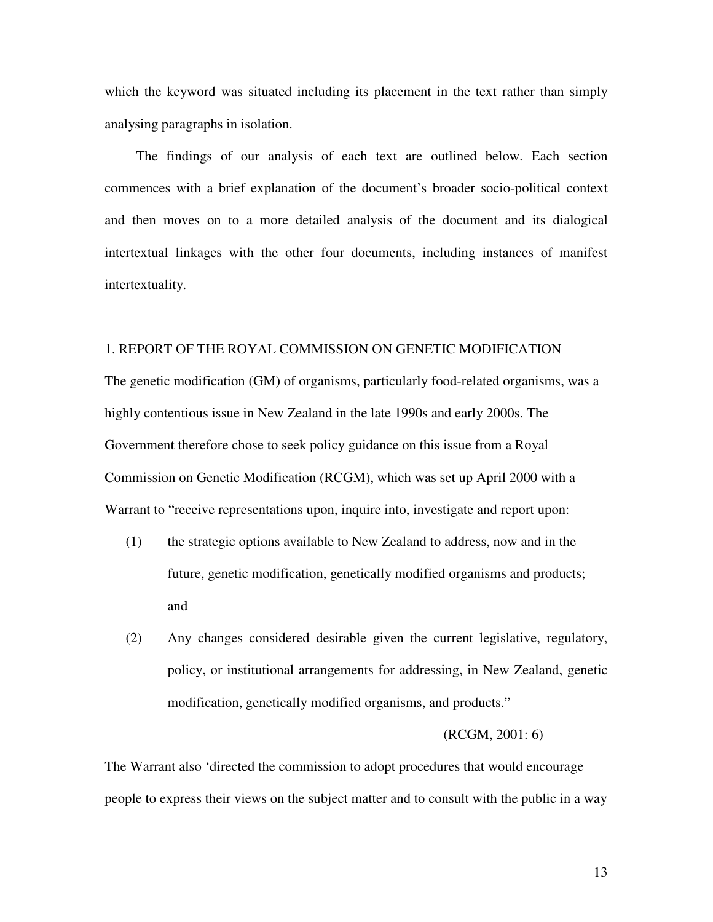which the keyword was situated including its placement in the text rather than simply analysing paragraphs in isolation.

 The findings of our analysis of each text are outlined below. Each section commences with a brief explanation of the document's broader socio-political context and then moves on to a more detailed analysis of the document and its dialogical intertextual linkages with the other four documents, including instances of manifest intertextuality.

# 1. REPORT OF THE ROYAL COMMISSION ON GENETIC MODIFICATION

The genetic modification (GM) of organisms, particularly food-related organisms, was a highly contentious issue in New Zealand in the late 1990s and early 2000s. The Government therefore chose to seek policy guidance on this issue from a Royal Commission on Genetic Modification (RCGM), which was set up April 2000 with a Warrant to "receive representations upon, inquire into, investigate and report upon:

- (1) the strategic options available to New Zealand to address, now and in the future, genetic modification, genetically modified organisms and products; and
- (2) Any changes considered desirable given the current legislative, regulatory, policy, or institutional arrangements for addressing, in New Zealand, genetic modification, genetically modified organisms, and products."

#### (RCGM, 2001: 6)

The Warrant also 'directed the commission to adopt procedures that would encourage people to express their views on the subject matter and to consult with the public in a way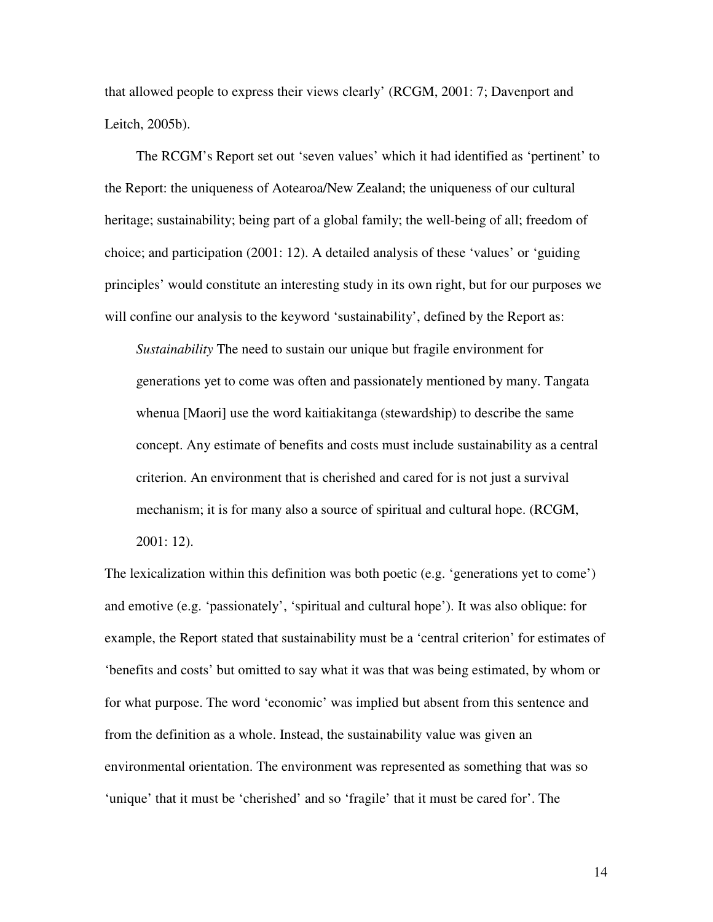that allowed people to express their views clearly' (RCGM, 2001: 7; Davenport and Leitch, 2005b).

 The RCGM's Report set out 'seven values' which it had identified as 'pertinent' to the Report: the uniqueness of Aotearoa/New Zealand; the uniqueness of our cultural heritage; sustainability; being part of a global family; the well-being of all; freedom of choice; and participation (2001: 12). A detailed analysis of these 'values' or 'guiding principles' would constitute an interesting study in its own right, but for our purposes we will confine our analysis to the keyword 'sustainability', defined by the Report as:

*Sustainability* The need to sustain our unique but fragile environment for generations yet to come was often and passionately mentioned by many. Tangata whenua [Maori] use the word kaitiakitanga (stewardship) to describe the same concept. Any estimate of benefits and costs must include sustainability as a central criterion. An environment that is cherished and cared for is not just a survival mechanism; it is for many also a source of spiritual and cultural hope. (RCGM, 2001: 12).

The lexicalization within this definition was both poetic (e.g. 'generations yet to come') and emotive (e.g. 'passionately', 'spiritual and cultural hope'). It was also oblique: for example, the Report stated that sustainability must be a 'central criterion' for estimates of 'benefits and costs' but omitted to say what it was that was being estimated, by whom or for what purpose. The word 'economic' was implied but absent from this sentence and from the definition as a whole. Instead, the sustainability value was given an environmental orientation. The environment was represented as something that was so 'unique' that it must be 'cherished' and so 'fragile' that it must be cared for'. The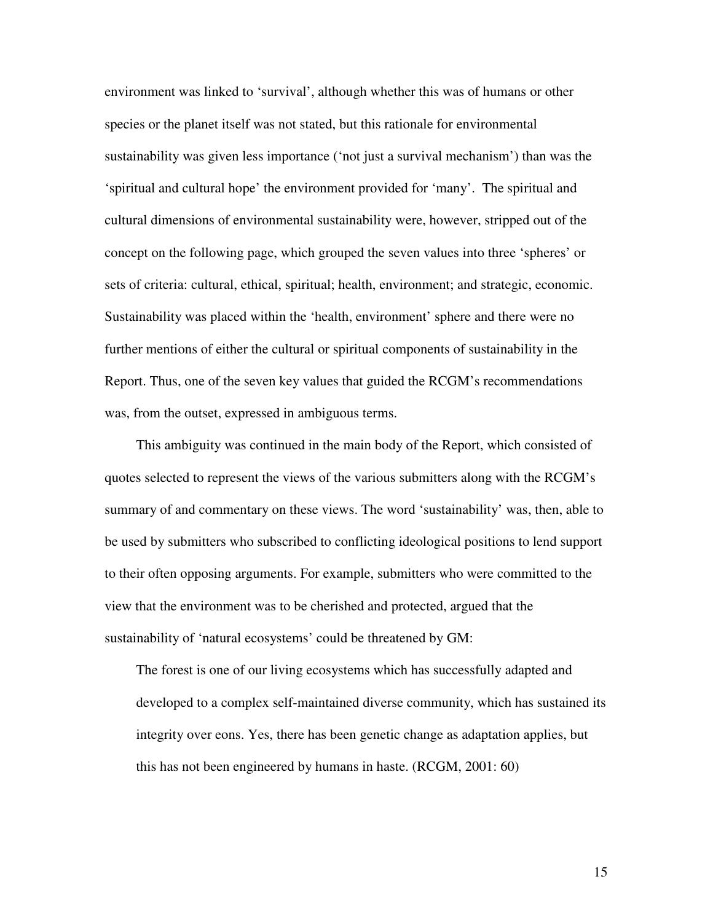environment was linked to 'survival', although whether this was of humans or other species or the planet itself was not stated, but this rationale for environmental sustainability was given less importance ('not just a survival mechanism') than was the 'spiritual and cultural hope' the environment provided for 'many'. The spiritual and cultural dimensions of environmental sustainability were, however, stripped out of the concept on the following page, which grouped the seven values into three 'spheres' or sets of criteria: cultural, ethical, spiritual; health, environment; and strategic, economic. Sustainability was placed within the 'health, environment' sphere and there were no further mentions of either the cultural or spiritual components of sustainability in the Report. Thus, one of the seven key values that guided the RCGM's recommendations was, from the outset, expressed in ambiguous terms.

 This ambiguity was continued in the main body of the Report, which consisted of quotes selected to represent the views of the various submitters along with the RCGM's summary of and commentary on these views. The word 'sustainability' was, then, able to be used by submitters who subscribed to conflicting ideological positions to lend support to their often opposing arguments. For example, submitters who were committed to the view that the environment was to be cherished and protected, argued that the sustainability of 'natural ecosystems' could be threatened by GM:

The forest is one of our living ecosystems which has successfully adapted and developed to a complex self-maintained diverse community, which has sustained its integrity over eons. Yes, there has been genetic change as adaptation applies, but this has not been engineered by humans in haste. (RCGM, 2001: 60)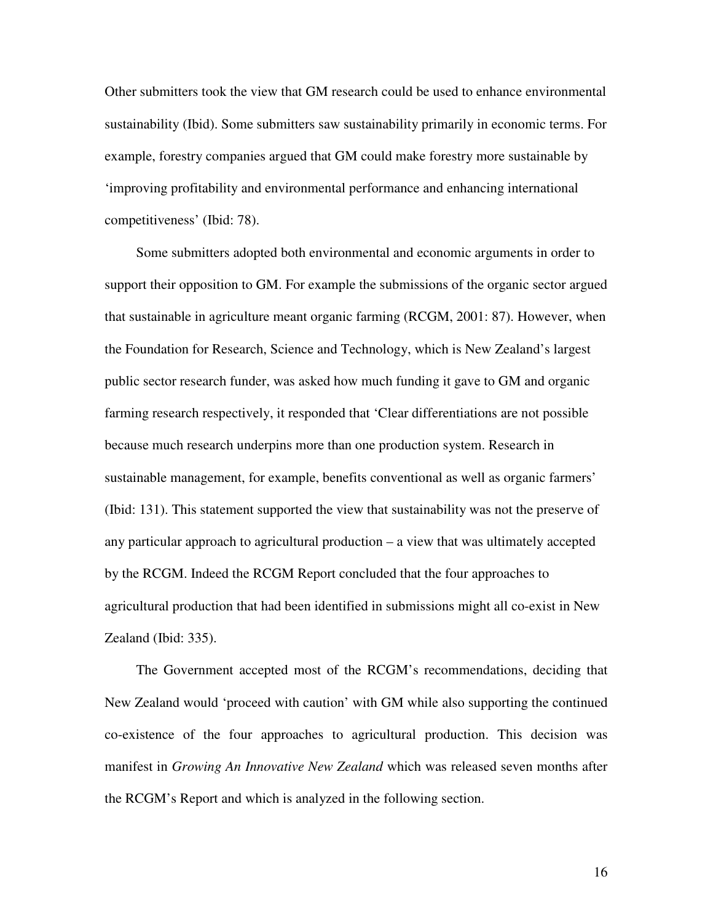Other submitters took the view that GM research could be used to enhance environmental sustainability (Ibid). Some submitters saw sustainability primarily in economic terms. For example, forestry companies argued that GM could make forestry more sustainable by 'improving profitability and environmental performance and enhancing international competitiveness' (Ibid: 78).

 Some submitters adopted both environmental and economic arguments in order to support their opposition to GM. For example the submissions of the organic sector argued that sustainable in agriculture meant organic farming (RCGM, 2001: 87). However, when the Foundation for Research, Science and Technology, which is New Zealand's largest public sector research funder, was asked how much funding it gave to GM and organic farming research respectively, it responded that 'Clear differentiations are not possible because much research underpins more than one production system. Research in sustainable management, for example, benefits conventional as well as organic farmers' (Ibid: 131). This statement supported the view that sustainability was not the preserve of any particular approach to agricultural production – a view that was ultimately accepted by the RCGM. Indeed the RCGM Report concluded that the four approaches to agricultural production that had been identified in submissions might all co-exist in New Zealand (Ibid: 335).

 The Government accepted most of the RCGM's recommendations, deciding that New Zealand would 'proceed with caution' with GM while also supporting the continued co-existence of the four approaches to agricultural production. This decision was manifest in *Growing An Innovative New Zealand* which was released seven months after the RCGM's Report and which is analyzed in the following section.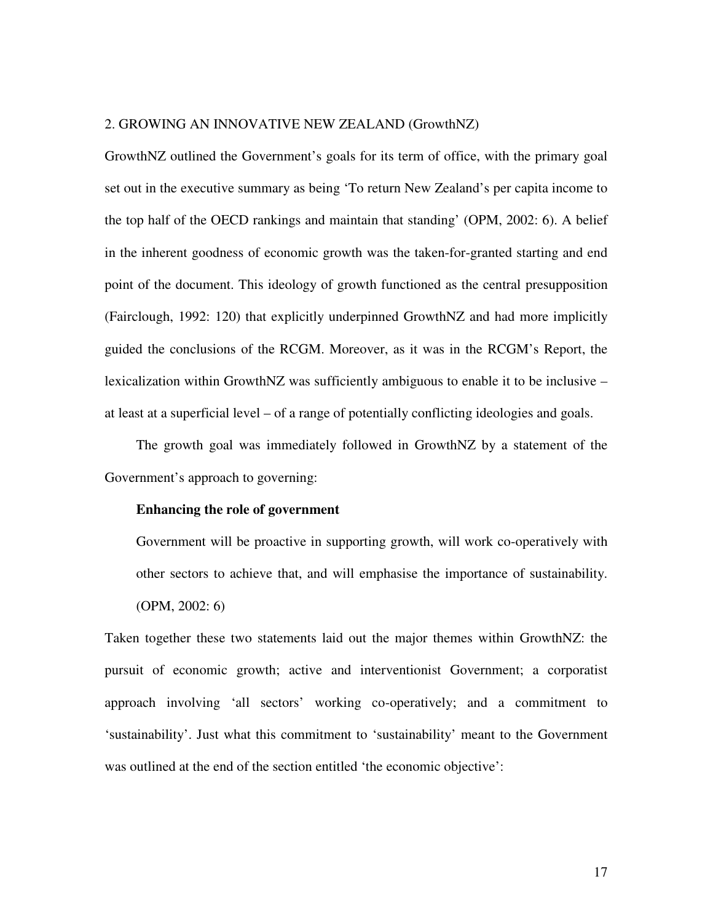### 2. GROWING AN INNOVATIVE NEW ZEALAND (GrowthNZ)

GrowthNZ outlined the Government's goals for its term of office, with the primary goal set out in the executive summary as being 'To return New Zealand's per capita income to the top half of the OECD rankings and maintain that standing' (OPM, 2002: 6). A belief in the inherent goodness of economic growth was the taken-for-granted starting and end point of the document. This ideology of growth functioned as the central presupposition (Fairclough, 1992: 120) that explicitly underpinned GrowthNZ and had more implicitly guided the conclusions of the RCGM. Moreover, as it was in the RCGM's Report, the lexicalization within GrowthNZ was sufficiently ambiguous to enable it to be inclusive – at least at a superficial level – of a range of potentially conflicting ideologies and goals.

 The growth goal was immediately followed in GrowthNZ by a statement of the Government's approach to governing:

## **Enhancing the role of government**

Government will be proactive in supporting growth, will work co-operatively with other sectors to achieve that, and will emphasise the importance of sustainability. (OPM, 2002: 6)

Taken together these two statements laid out the major themes within GrowthNZ: the pursuit of economic growth; active and interventionist Government; a corporatist approach involving 'all sectors' working co-operatively; and a commitment to 'sustainability'. Just what this commitment to 'sustainability' meant to the Government was outlined at the end of the section entitled 'the economic objective':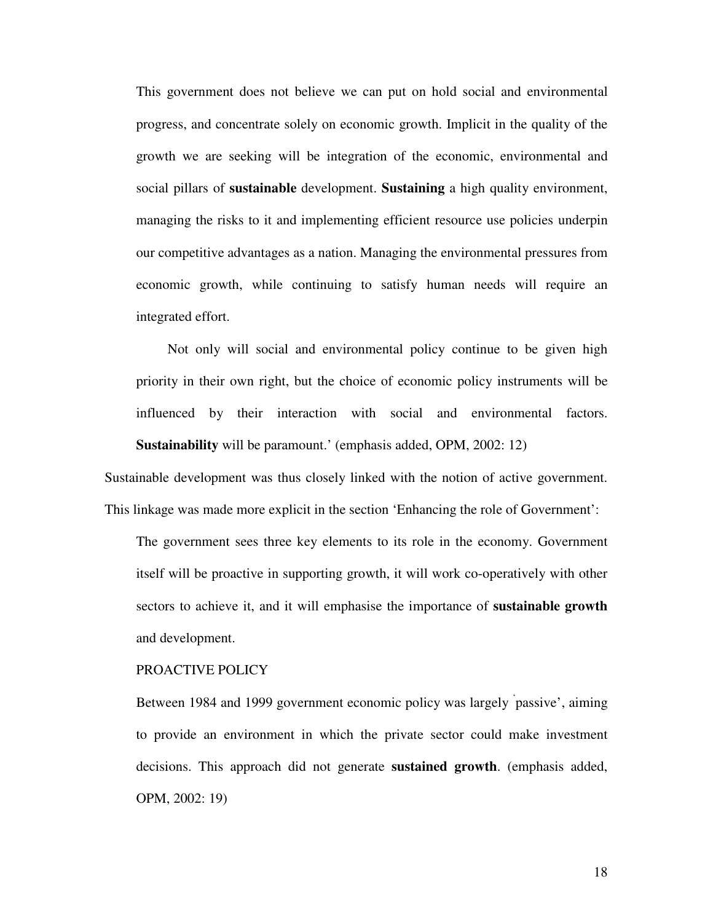This government does not believe we can put on hold social and environmental progress, and concentrate solely on economic growth. Implicit in the quality of the growth we are seeking will be integration of the economic, environmental and social pillars of **sustainable** development. **Sustaining** a high quality environment, managing the risks to it and implementing efficient resource use policies underpin our competitive advantages as a nation. Managing the environmental pressures from economic growth, while continuing to satisfy human needs will require an integrated effort.

 Not only will social and environmental policy continue to be given high priority in their own right, but the choice of economic policy instruments will be influenced by their interaction with social and environmental factors. **Sustainability** will be paramount.' (emphasis added, OPM, 2002: 12)

Sustainable development was thus closely linked with the notion of active government. This linkage was made more explicit in the section 'Enhancing the role of Government':

The government sees three key elements to its role in the economy. Government itself will be proactive in supporting growth, it will work co-operatively with other sectors to achieve it, and it will emphasise the importance of **sustainable growth** and development.

#### PROACTIVE POLICY

Between 1984 and 1999 government economic policy was largely ' passive', aiming to provide an environment in which the private sector could make investment decisions. This approach did not generate **sustained growth**. (emphasis added, OPM, 2002: 19)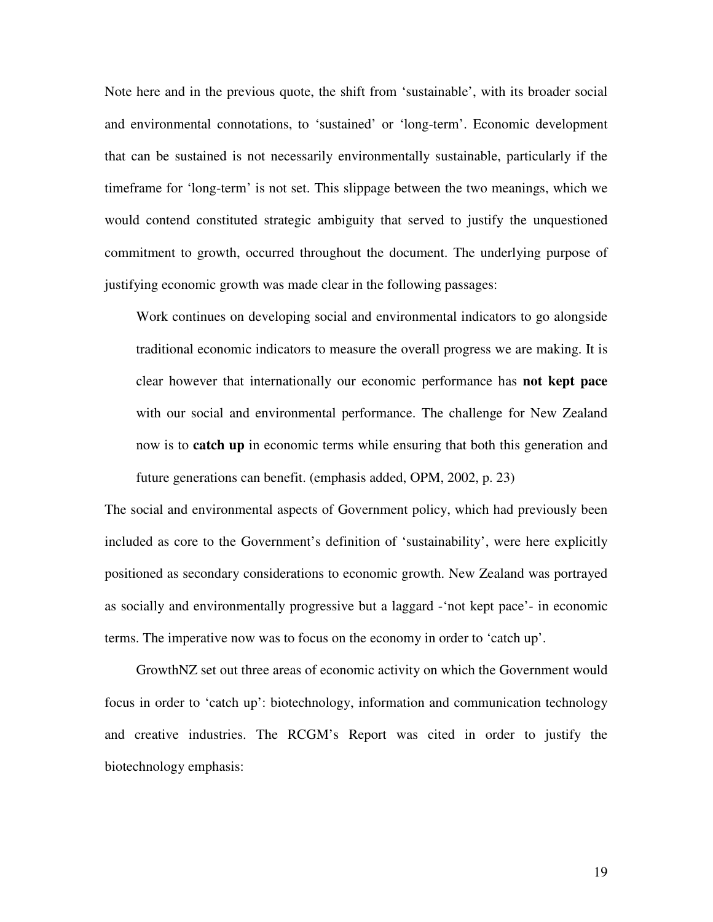Note here and in the previous quote, the shift from 'sustainable', with its broader social and environmental connotations, to 'sustained' or 'long-term'. Economic development that can be sustained is not necessarily environmentally sustainable, particularly if the timeframe for 'long-term' is not set. This slippage between the two meanings, which we would contend constituted strategic ambiguity that served to justify the unquestioned commitment to growth, occurred throughout the document. The underlying purpose of justifying economic growth was made clear in the following passages:

Work continues on developing social and environmental indicators to go alongside traditional economic indicators to measure the overall progress we are making. It is clear however that internationally our economic performance has **not kept pace** with our social and environmental performance. The challenge for New Zealand now is to **catch up** in economic terms while ensuring that both this generation and future generations can benefit. (emphasis added, OPM, 2002, p. 23)

The social and environmental aspects of Government policy, which had previously been included as core to the Government's definition of 'sustainability', were here explicitly positioned as secondary considerations to economic growth. New Zealand was portrayed as socially and environmentally progressive but a laggard -'not kept pace'- in economic terms. The imperative now was to focus on the economy in order to 'catch up'.

 GrowthNZ set out three areas of economic activity on which the Government would focus in order to 'catch up': biotechnology, information and communication technology and creative industries. The RCGM's Report was cited in order to justify the biotechnology emphasis: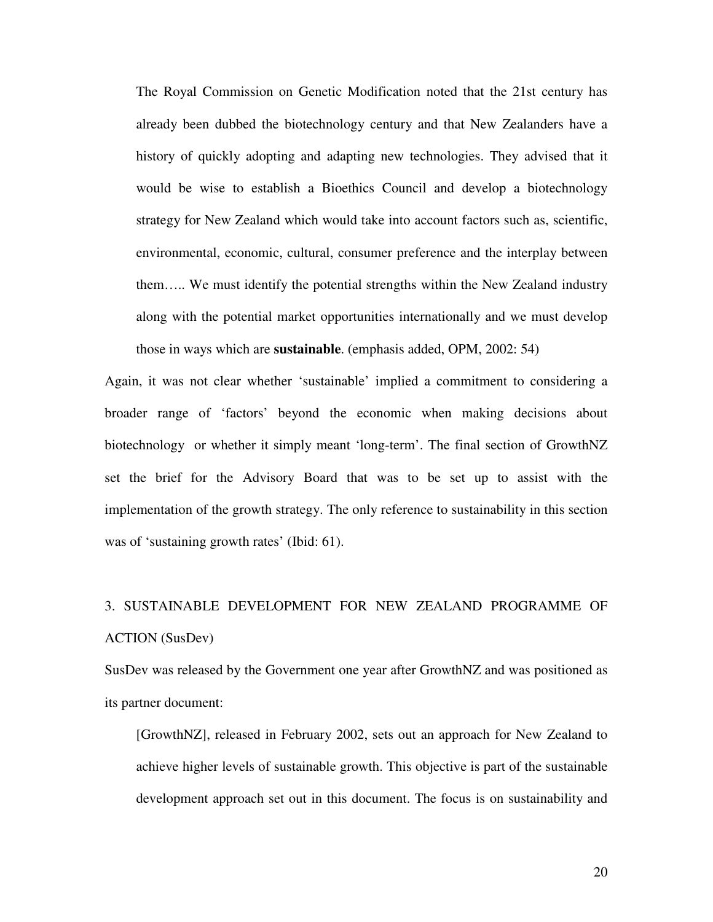The Royal Commission on Genetic Modification noted that the 21st century has already been dubbed the biotechnology century and that New Zealanders have a history of quickly adopting and adapting new technologies. They advised that it would be wise to establish a Bioethics Council and develop a biotechnology strategy for New Zealand which would take into account factors such as, scientific, environmental, economic, cultural, consumer preference and the interplay between them….. We must identify the potential strengths within the New Zealand industry along with the potential market opportunities internationally and we must develop those in ways which are **sustainable**. (emphasis added, OPM, 2002: 54)

Again, it was not clear whether 'sustainable' implied a commitment to considering a broader range of 'factors' beyond the economic when making decisions about biotechnology or whether it simply meant 'long-term'. The final section of GrowthNZ set the brief for the Advisory Board that was to be set up to assist with the implementation of the growth strategy. The only reference to sustainability in this section was of 'sustaining growth rates' (Ibid: 61).

# 3. SUSTAINABLE DEVELOPMENT FOR NEW ZEALAND PROGRAMME OF ACTION (SusDev)

SusDev was released by the Government one year after GrowthNZ and was positioned as its partner document:

[GrowthNZ], released in February 2002, sets out an approach for New Zealand to achieve higher levels of sustainable growth. This objective is part of the sustainable development approach set out in this document. The focus is on sustainability and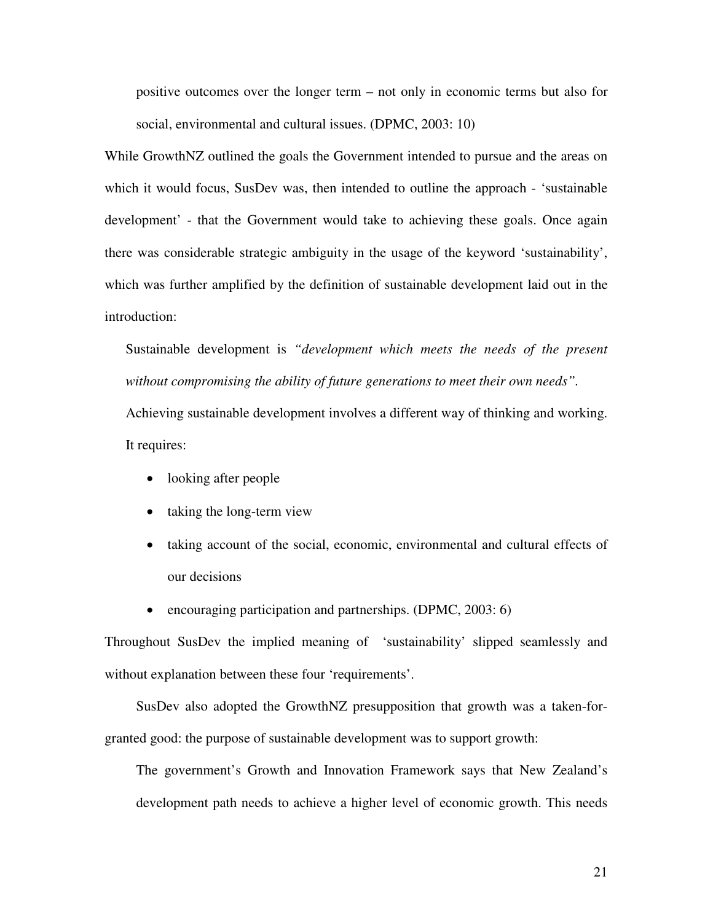positive outcomes over the longer term – not only in economic terms but also for social, environmental and cultural issues. (DPMC, 2003: 10)

While GrowthNZ outlined the goals the Government intended to pursue and the areas on which it would focus, SusDev was, then intended to outline the approach - 'sustainable development' - that the Government would take to achieving these goals. Once again there was considerable strategic ambiguity in the usage of the keyword 'sustainability', which was further amplified by the definition of sustainable development laid out in the introduction:

Sustainable development is *"development which meets the needs of the present without compromising the ability of future generations to meet their own needs".*  Achieving sustainable development involves a different way of thinking and working. It requires:

- looking after people
- taking the long-term view
- taking account of the social, economic, environmental and cultural effects of our decisions
- encouraging participation and partnerships. (DPMC, 2003: 6)

Throughout SusDev the implied meaning of 'sustainability' slipped seamlessly and without explanation between these four 'requirements'.

 SusDev also adopted the GrowthNZ presupposition that growth was a taken-forgranted good: the purpose of sustainable development was to support growth:

The government's Growth and Innovation Framework says that New Zealand's development path needs to achieve a higher level of economic growth. This needs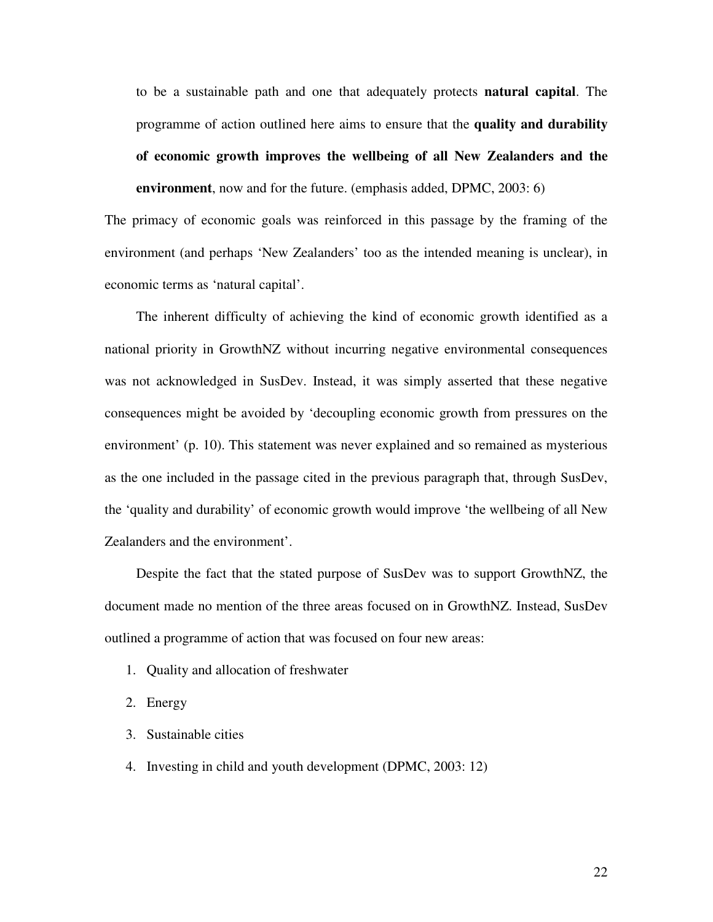to be a sustainable path and one that adequately protects **natural capital**. The programme of action outlined here aims to ensure that the **quality and durability of economic growth improves the wellbeing of all New Zealanders and the environment**, now and for the future. (emphasis added, DPMC, 2003: 6)

The primacy of economic goals was reinforced in this passage by the framing of the environment (and perhaps 'New Zealanders' too as the intended meaning is unclear), in economic terms as 'natural capital'.

 The inherent difficulty of achieving the kind of economic growth identified as a national priority in GrowthNZ without incurring negative environmental consequences was not acknowledged in SusDev. Instead, it was simply asserted that these negative consequences might be avoided by 'decoupling economic growth from pressures on the environment' (p. 10). This statement was never explained and so remained as mysterious as the one included in the passage cited in the previous paragraph that, through SusDev, the 'quality and durability' of economic growth would improve 'the wellbeing of all New Zealanders and the environment'.

 Despite the fact that the stated purpose of SusDev was to support GrowthNZ, the document made no mention of the three areas focused on in GrowthNZ. Instead, SusDev outlined a programme of action that was focused on four new areas:

1. Quality and allocation of freshwater

2. Energy

- 3. Sustainable cities
- 4. Investing in child and youth development (DPMC, 2003: 12)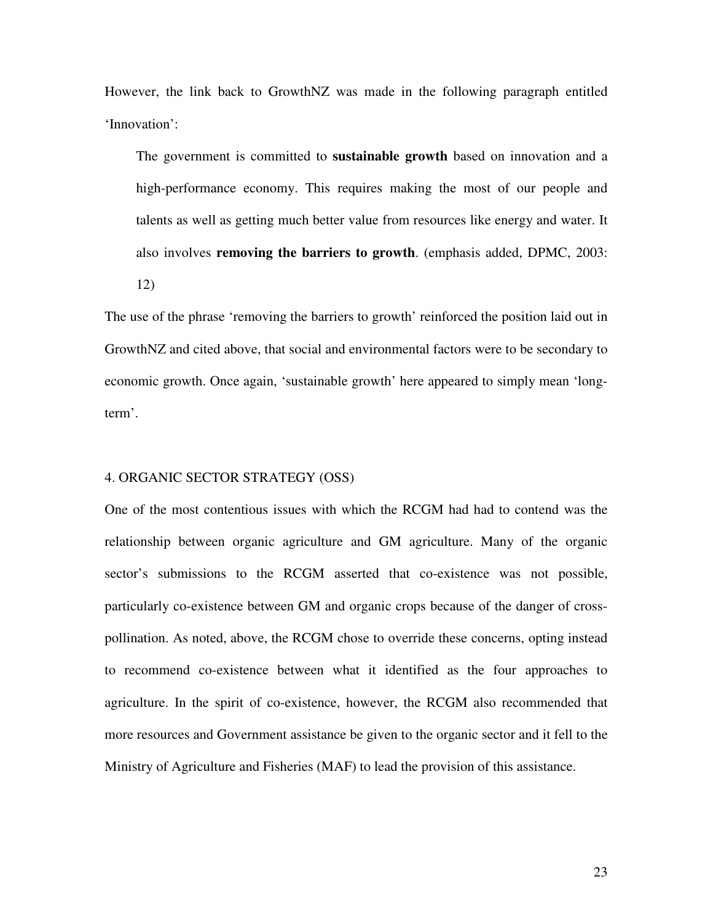However, the link back to GrowthNZ was made in the following paragraph entitled 'Innovation':

The government is committed to **sustainable growth** based on innovation and a high-performance economy. This requires making the most of our people and talents as well as getting much better value from resources like energy and water. It also involves **removing the barriers to growth**. (emphasis added, DPMC, 2003: 12)

The use of the phrase 'removing the barriers to growth' reinforced the position laid out in GrowthNZ and cited above, that social and environmental factors were to be secondary to economic growth. Once again, 'sustainable growth' here appeared to simply mean 'longterm'.

## 4. ORGANIC SECTOR STRATEGY (OSS)

One of the most contentious issues with which the RCGM had had to contend was the relationship between organic agriculture and GM agriculture. Many of the organic sector's submissions to the RCGM asserted that co-existence was not possible, particularly co-existence between GM and organic crops because of the danger of crosspollination. As noted, above, the RCGM chose to override these concerns, opting instead to recommend co-existence between what it identified as the four approaches to agriculture. In the spirit of co-existence, however, the RCGM also recommended that more resources and Government assistance be given to the organic sector and it fell to the Ministry of Agriculture and Fisheries (MAF) to lead the provision of this assistance.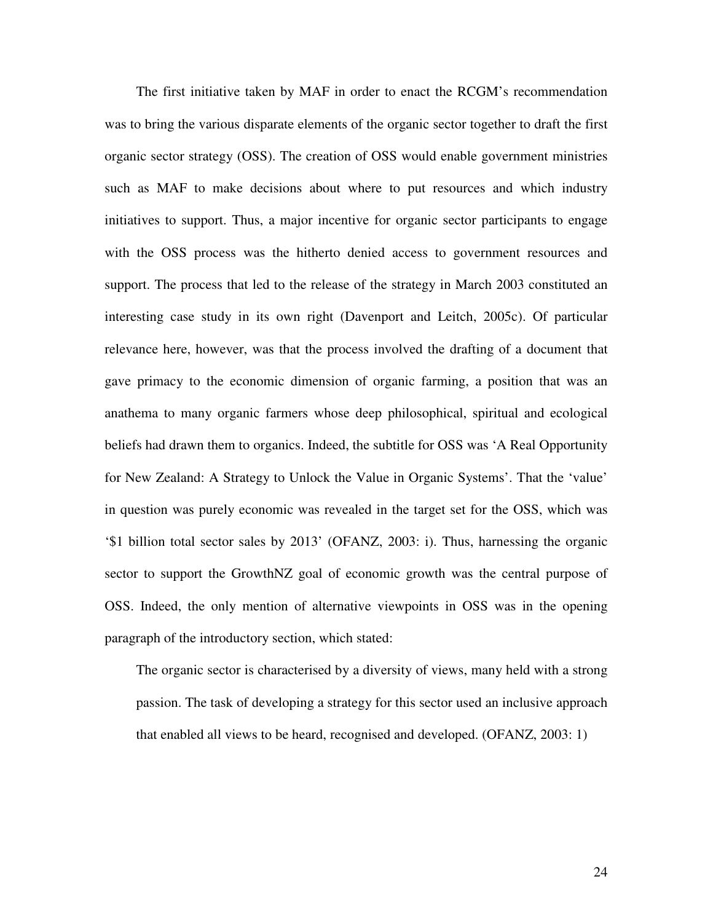The first initiative taken by MAF in order to enact the RCGM's recommendation was to bring the various disparate elements of the organic sector together to draft the first organic sector strategy (OSS). The creation of OSS would enable government ministries such as MAF to make decisions about where to put resources and which industry initiatives to support. Thus, a major incentive for organic sector participants to engage with the OSS process was the hitherto denied access to government resources and support. The process that led to the release of the strategy in March 2003 constituted an interesting case study in its own right (Davenport and Leitch, 2005c). Of particular relevance here, however, was that the process involved the drafting of a document that gave primacy to the economic dimension of organic farming, a position that was an anathema to many organic farmers whose deep philosophical, spiritual and ecological beliefs had drawn them to organics. Indeed, the subtitle for OSS was 'A Real Opportunity for New Zealand: A Strategy to Unlock the Value in Organic Systems'. That the 'value' in question was purely economic was revealed in the target set for the OSS, which was '\$1 billion total sector sales by 2013' (OFANZ, 2003: i). Thus, harnessing the organic sector to support the GrowthNZ goal of economic growth was the central purpose of OSS. Indeed, the only mention of alternative viewpoints in OSS was in the opening paragraph of the introductory section, which stated:

The organic sector is characterised by a diversity of views, many held with a strong passion. The task of developing a strategy for this sector used an inclusive approach that enabled all views to be heard, recognised and developed. (OFANZ, 2003: 1)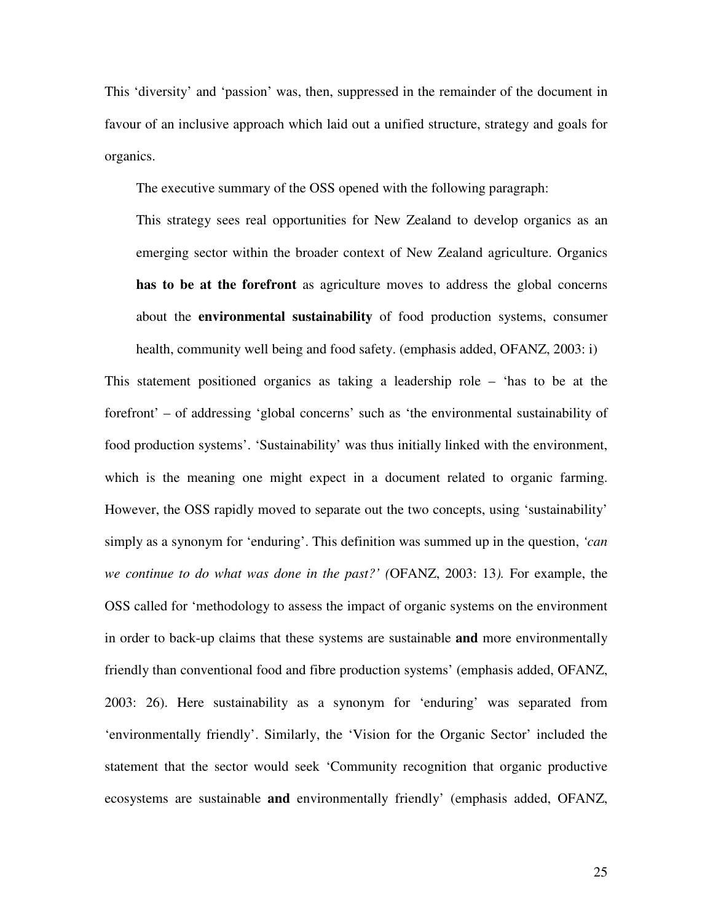This 'diversity' and 'passion' was, then, suppressed in the remainder of the document in favour of an inclusive approach which laid out a unified structure, strategy and goals for organics.

The executive summary of the OSS opened with the following paragraph:

This strategy sees real opportunities for New Zealand to develop organics as an emerging sector within the broader context of New Zealand agriculture. Organics **has to be at the forefront** as agriculture moves to address the global concerns about the **environmental sustainability** of food production systems, consumer health, community well being and food safety. (emphasis added, OFANZ, 2003: i)

This statement positioned organics as taking a leadership role – 'has to be at the forefront' – of addressing 'global concerns' such as 'the environmental sustainability of food production systems'. 'Sustainability' was thus initially linked with the environment, which is the meaning one might expect in a document related to organic farming. However, the OSS rapidly moved to separate out the two concepts, using 'sustainability' simply as a synonym for 'enduring'. This definition was summed up in the question, *'can we continue to do what was done in the past?' (*OFANZ, 2003: 13*).* For example, the OSS called for 'methodology to assess the impact of organic systems on the environment in order to back-up claims that these systems are sustainable **and** more environmentally friendly than conventional food and fibre production systems' (emphasis added, OFANZ, 2003: 26). Here sustainability as a synonym for 'enduring' was separated from 'environmentally friendly'. Similarly, the 'Vision for the Organic Sector' included the statement that the sector would seek 'Community recognition that organic productive ecosystems are sustainable **and** environmentally friendly' (emphasis added, OFANZ,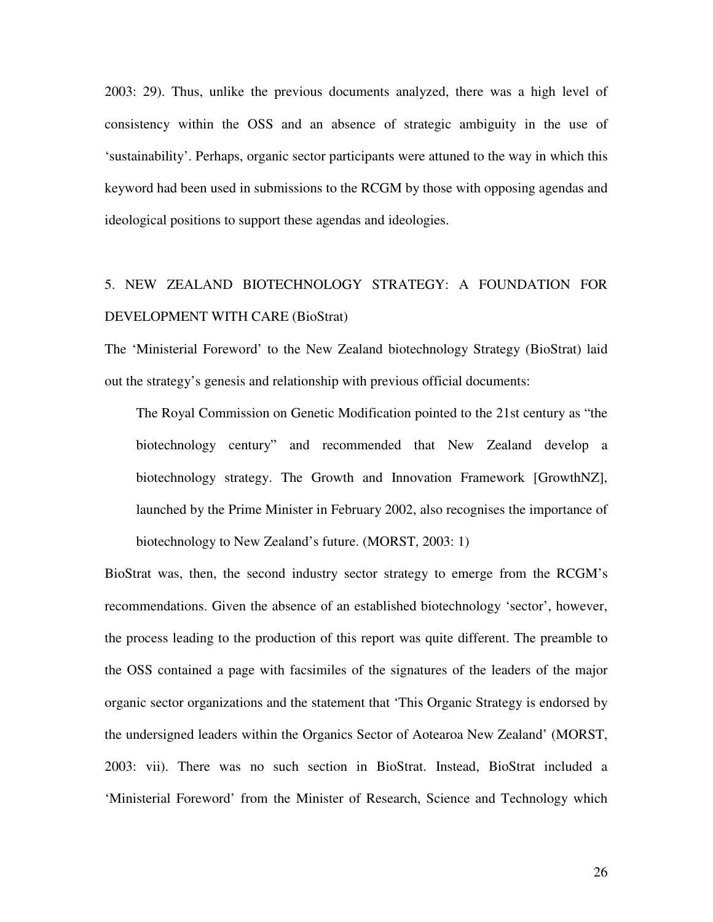2003: 29). Thus, unlike the previous documents analyzed, there was a high level of consistency within the OSS and an absence of strategic ambiguity in the use of 'sustainability'. Perhaps, organic sector participants were attuned to the way in which this keyword had been used in submissions to the RCGM by those with opposing agendas and ideological positions to support these agendas and ideologies.

# 5. NEW ZEALAND BIOTECHNOLOGY STRATEGY: A FOUNDATION FOR DEVELOPMENT WITH CARE (BioStrat)

The 'Ministerial Foreword' to the New Zealand biotechnology Strategy (BioStrat) laid out the strategy's genesis and relationship with previous official documents:

The Royal Commission on Genetic Modification pointed to the 21st century as "the biotechnology century" and recommended that New Zealand develop a biotechnology strategy. The Growth and Innovation Framework [GrowthNZ], launched by the Prime Minister in February 2002, also recognises the importance of biotechnology to New Zealand's future. (MORST, 2003: 1)

BioStrat was, then, the second industry sector strategy to emerge from the RCGM's recommendations. Given the absence of an established biotechnology 'sector', however, the process leading to the production of this report was quite different. The preamble to the OSS contained a page with facsimiles of the signatures of the leaders of the major organic sector organizations and the statement that 'This Organic Strategy is endorsed by the undersigned leaders within the Organics Sector of Aotearoa New Zealand' (MORST, 2003: vii). There was no such section in BioStrat. Instead, BioStrat included a 'Ministerial Foreword' from the Minister of Research, Science and Technology which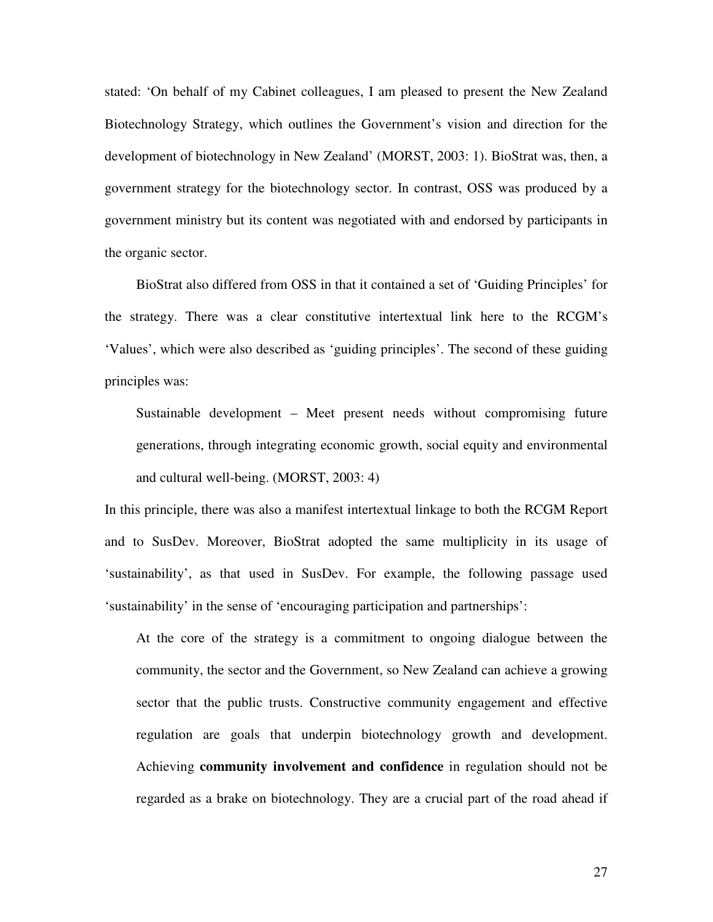stated: 'On behalf of my Cabinet colleagues, I am pleased to present the New Zealand Biotechnology Strategy, which outlines the Government's vision and direction for the development of biotechnology in New Zealand' (MORST, 2003: 1). BioStrat was, then, a government strategy for the biotechnology sector. In contrast, OSS was produced by a government ministry but its content was negotiated with and endorsed by participants in the organic sector.

 BioStrat also differed from OSS in that it contained a set of 'Guiding Principles' for the strategy. There was a clear constitutive intertextual link here to the RCGM's 'Values', which were also described as 'guiding principles'. The second of these guiding principles was:

Sustainable development – Meet present needs without compromising future generations, through integrating economic growth, social equity and environmental and cultural well-being. (MORST, 2003: 4)

In this principle, there was also a manifest intertextual linkage to both the RCGM Report and to SusDev. Moreover, BioStrat adopted the same multiplicity in its usage of 'sustainability', as that used in SusDev. For example, the following passage used 'sustainability' in the sense of 'encouraging participation and partnerships':

At the core of the strategy is a commitment to ongoing dialogue between the community, the sector and the Government, so New Zealand can achieve a growing sector that the public trusts. Constructive community engagement and effective regulation are goals that underpin biotechnology growth and development. Achieving **community involvement and confidence** in regulation should not be regarded as a brake on biotechnology. They are a crucial part of the road ahead if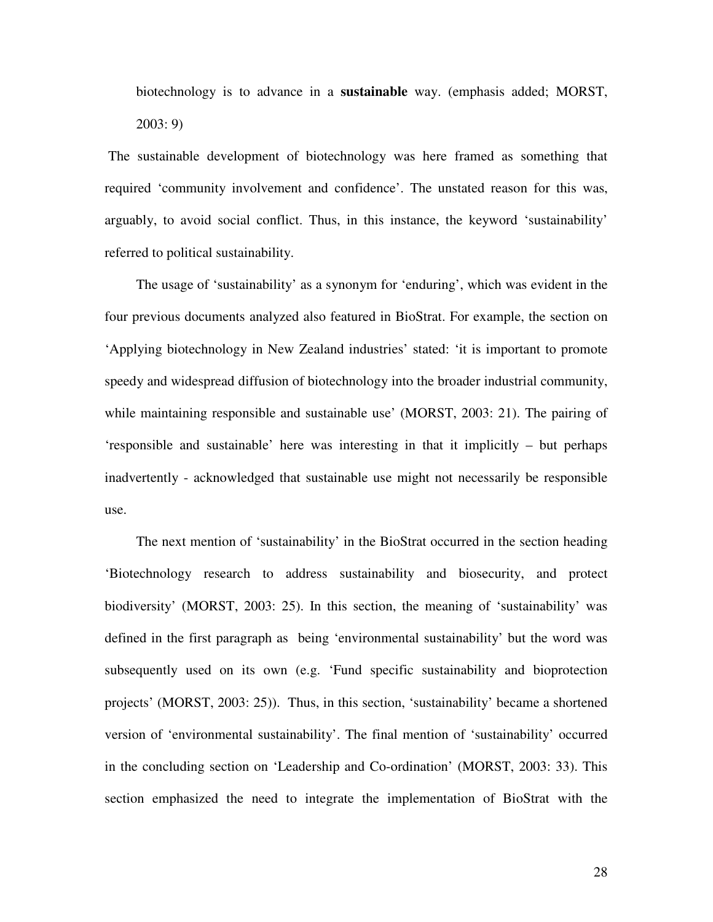biotechnology is to advance in a **sustainable** way. (emphasis added; MORST, 2003: 9)

 The sustainable development of biotechnology was here framed as something that required 'community involvement and confidence'. The unstated reason for this was, arguably, to avoid social conflict. Thus, in this instance, the keyword 'sustainability' referred to political sustainability.

 The usage of 'sustainability' as a synonym for 'enduring', which was evident in the four previous documents analyzed also featured in BioStrat. For example, the section on 'Applying biotechnology in New Zealand industries' stated: 'it is important to promote speedy and widespread diffusion of biotechnology into the broader industrial community, while maintaining responsible and sustainable use' (MORST, 2003: 21). The pairing of 'responsible and sustainable' here was interesting in that it implicitly – but perhaps inadvertently - acknowledged that sustainable use might not necessarily be responsible use.

 The next mention of 'sustainability' in the BioStrat occurred in the section heading 'Biotechnology research to address sustainability and biosecurity, and protect biodiversity' (MORST, 2003: 25). In this section, the meaning of 'sustainability' was defined in the first paragraph as being 'environmental sustainability' but the word was subsequently used on its own (e.g. 'Fund specific sustainability and bioprotection projects' (MORST, 2003: 25)). Thus, in this section, 'sustainability' became a shortened version of 'environmental sustainability'. The final mention of 'sustainability' occurred in the concluding section on 'Leadership and Co-ordination' (MORST, 2003: 33). This section emphasized the need to integrate the implementation of BioStrat with the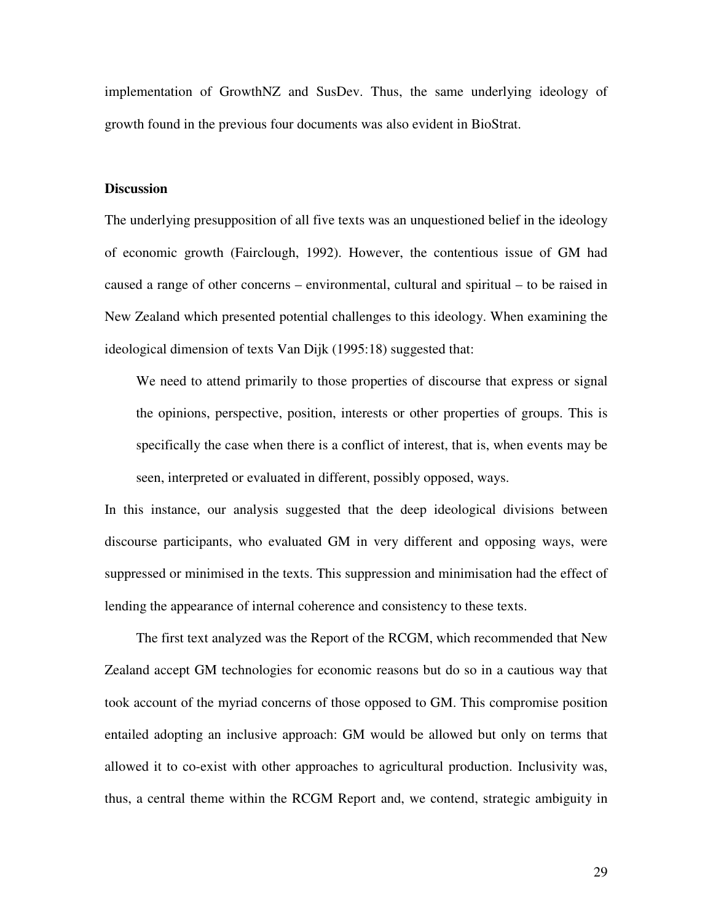implementation of GrowthNZ and SusDev. Thus, the same underlying ideology of growth found in the previous four documents was also evident in BioStrat.

### **Discussion**

The underlying presupposition of all five texts was an unquestioned belief in the ideology of economic growth (Fairclough, 1992). However, the contentious issue of GM had caused a range of other concerns – environmental, cultural and spiritual – to be raised in New Zealand which presented potential challenges to this ideology. When examining the ideological dimension of texts Van Dijk (1995:18) suggested that:

We need to attend primarily to those properties of discourse that express or signal the opinions, perspective, position, interests or other properties of groups. This is specifically the case when there is a conflict of interest, that is, when events may be seen, interpreted or evaluated in different, possibly opposed, ways.

In this instance, our analysis suggested that the deep ideological divisions between discourse participants, who evaluated GM in very different and opposing ways, were suppressed or minimised in the texts. This suppression and minimisation had the effect of lending the appearance of internal coherence and consistency to these texts.

 The first text analyzed was the Report of the RCGM, which recommended that New Zealand accept GM technologies for economic reasons but do so in a cautious way that took account of the myriad concerns of those opposed to GM. This compromise position entailed adopting an inclusive approach: GM would be allowed but only on terms that allowed it to co-exist with other approaches to agricultural production. Inclusivity was, thus, a central theme within the RCGM Report and, we contend, strategic ambiguity in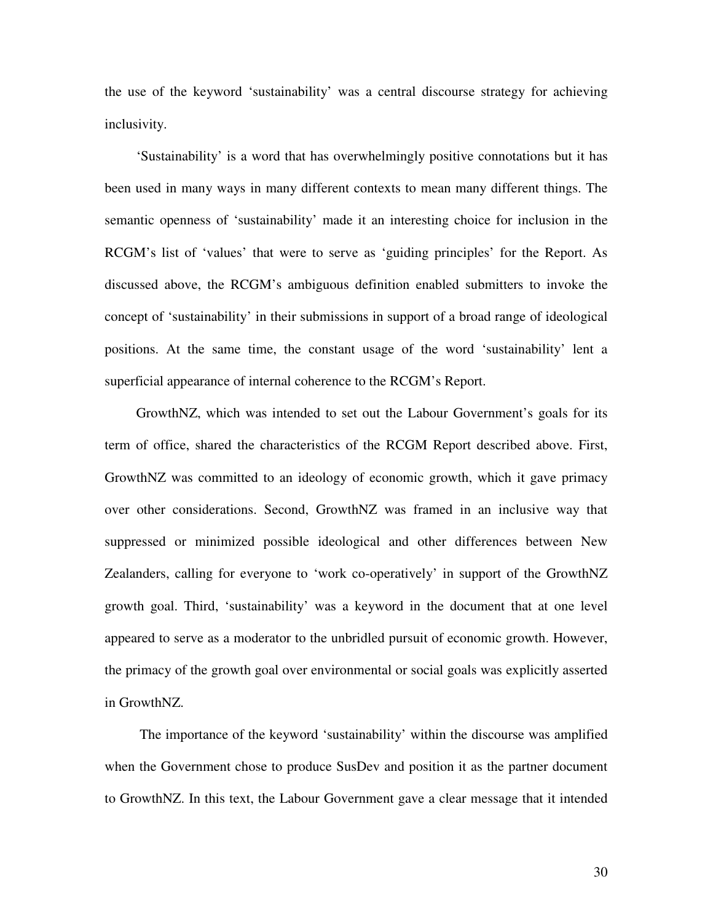the use of the keyword 'sustainability' was a central discourse strategy for achieving inclusivity.

 'Sustainability' is a word that has overwhelmingly positive connotations but it has been used in many ways in many different contexts to mean many different things. The semantic openness of 'sustainability' made it an interesting choice for inclusion in the RCGM's list of 'values' that were to serve as 'guiding principles' for the Report. As discussed above, the RCGM's ambiguous definition enabled submitters to invoke the concept of 'sustainability' in their submissions in support of a broad range of ideological positions. At the same time, the constant usage of the word 'sustainability' lent a superficial appearance of internal coherence to the RCGM's Report.

 GrowthNZ, which was intended to set out the Labour Government's goals for its term of office, shared the characteristics of the RCGM Report described above. First, GrowthNZ was committed to an ideology of economic growth, which it gave primacy over other considerations. Second, GrowthNZ was framed in an inclusive way that suppressed or minimized possible ideological and other differences between New Zealanders, calling for everyone to 'work co-operatively' in support of the GrowthNZ growth goal. Third, 'sustainability' was a keyword in the document that at one level appeared to serve as a moderator to the unbridled pursuit of economic growth. However, the primacy of the growth goal over environmental or social goals was explicitly asserted in GrowthNZ.

 The importance of the keyword 'sustainability' within the discourse was amplified when the Government chose to produce SusDev and position it as the partner document to GrowthNZ. In this text, the Labour Government gave a clear message that it intended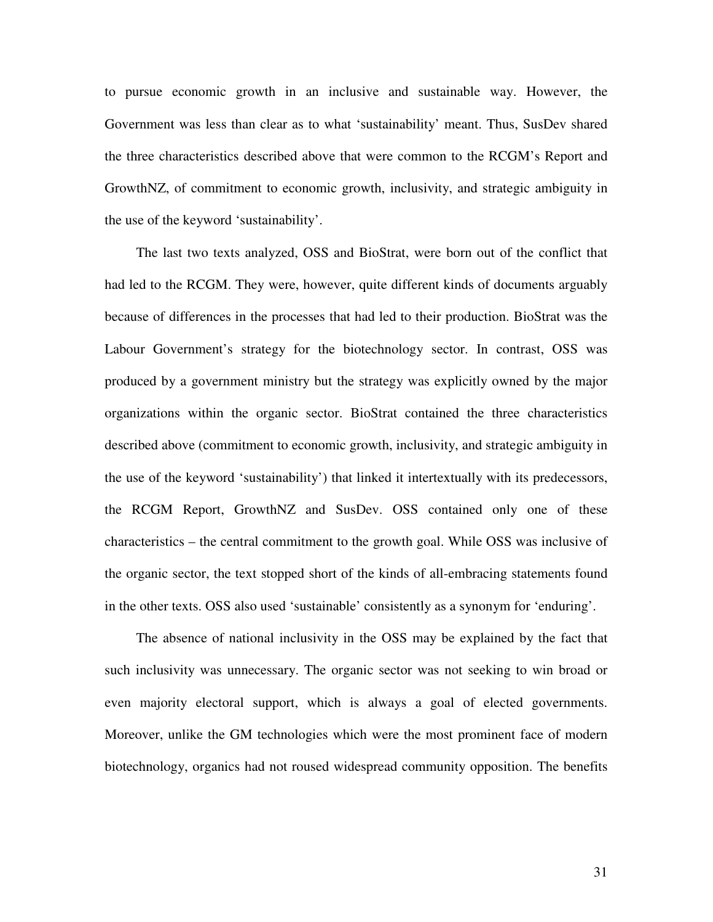to pursue economic growth in an inclusive and sustainable way. However, the Government was less than clear as to what 'sustainability' meant. Thus, SusDev shared the three characteristics described above that were common to the RCGM's Report and GrowthNZ, of commitment to economic growth, inclusivity, and strategic ambiguity in the use of the keyword 'sustainability'.

 The last two texts analyzed, OSS and BioStrat, were born out of the conflict that had led to the RCGM. They were, however, quite different kinds of documents arguably because of differences in the processes that had led to their production. BioStrat was the Labour Government's strategy for the biotechnology sector. In contrast, OSS was produced by a government ministry but the strategy was explicitly owned by the major organizations within the organic sector. BioStrat contained the three characteristics described above (commitment to economic growth, inclusivity, and strategic ambiguity in the use of the keyword 'sustainability') that linked it intertextually with its predecessors, the RCGM Report, GrowthNZ and SusDev. OSS contained only one of these characteristics – the central commitment to the growth goal. While OSS was inclusive of the organic sector, the text stopped short of the kinds of all-embracing statements found in the other texts. OSS also used 'sustainable' consistently as a synonym for 'enduring'.

 The absence of national inclusivity in the OSS may be explained by the fact that such inclusivity was unnecessary. The organic sector was not seeking to win broad or even majority electoral support, which is always a goal of elected governments. Moreover, unlike the GM technologies which were the most prominent face of modern biotechnology, organics had not roused widespread community opposition. The benefits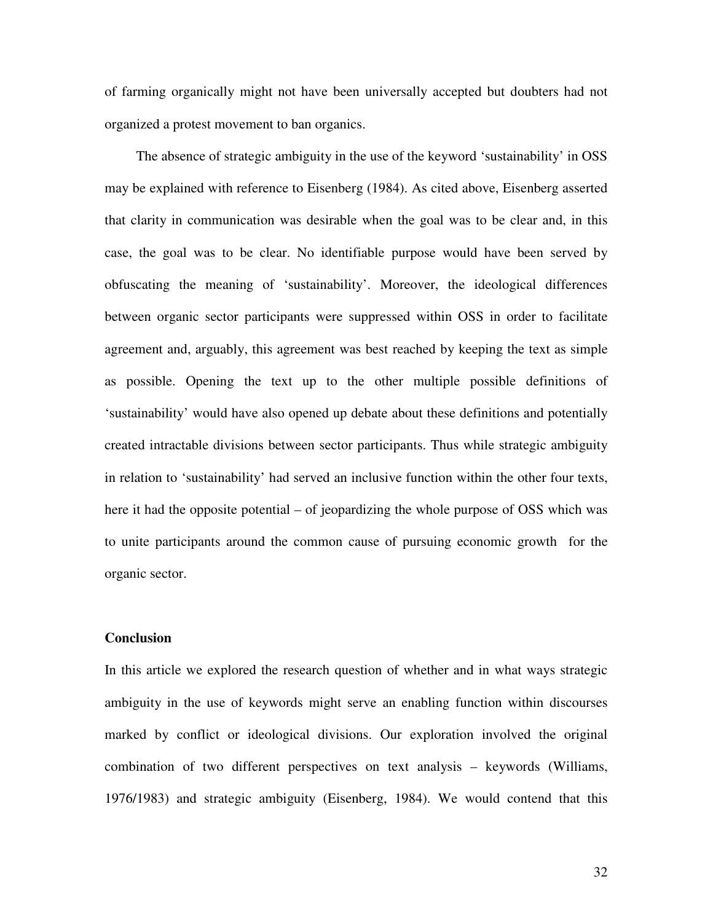of farming organically might not have been universally accepted but doubters had not organized a protest movement to ban organics.

 The absence of strategic ambiguity in the use of the keyword 'sustainability' in OSS may be explained with reference to Eisenberg (1984). As cited above, Eisenberg asserted that clarity in communication was desirable when the goal was to be clear and, in this case, the goal was to be clear. No identifiable purpose would have been served by obfuscating the meaning of 'sustainability'. Moreover, the ideological differences between organic sector participants were suppressed within OSS in order to facilitate agreement and, arguably, this agreement was best reached by keeping the text as simple as possible. Opening the text up to the other multiple possible definitions of 'sustainability' would have also opened up debate about these definitions and potentially created intractable divisions between sector participants. Thus while strategic ambiguity in relation to 'sustainability' had served an inclusive function within the other four texts, here it had the opposite potential – of jeopardizing the whole purpose of OSS which was to unite participants around the common cause of pursuing economic growth for the organic sector.

## **Conclusion**

In this article we explored the research question of whether and in what ways strategic ambiguity in the use of keywords might serve an enabling function within discourses marked by conflict or ideological divisions. Our exploration involved the original combination of two different perspectives on text analysis – keywords (Williams, 1976/1983) and strategic ambiguity (Eisenberg, 1984). We would contend that this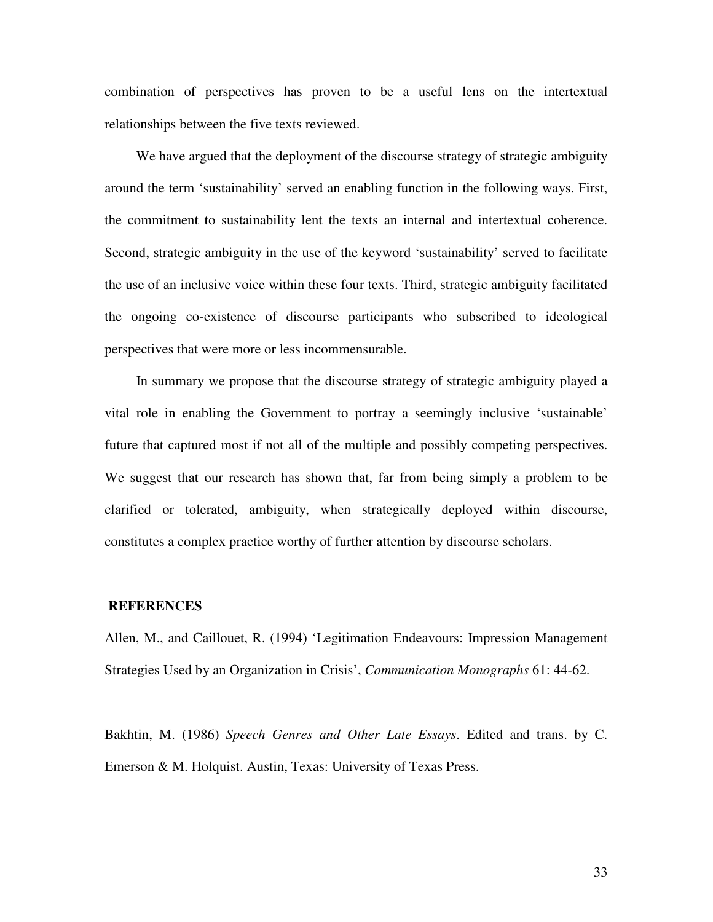combination of perspectives has proven to be a useful lens on the intertextual relationships between the five texts reviewed.

We have argued that the deployment of the discourse strategy of strategic ambiguity around the term 'sustainability' served an enabling function in the following ways. First, the commitment to sustainability lent the texts an internal and intertextual coherence. Second, strategic ambiguity in the use of the keyword 'sustainability' served to facilitate the use of an inclusive voice within these four texts. Third, strategic ambiguity facilitated the ongoing co-existence of discourse participants who subscribed to ideological perspectives that were more or less incommensurable.

 In summary we propose that the discourse strategy of strategic ambiguity played a vital role in enabling the Government to portray a seemingly inclusive 'sustainable' future that captured most if not all of the multiple and possibly competing perspectives. We suggest that our research has shown that, far from being simply a problem to be clarified or tolerated, ambiguity, when strategically deployed within discourse, constitutes a complex practice worthy of further attention by discourse scholars.

#### **REFERENCES**

Allen, M., and Caillouet, R. (1994) 'Legitimation Endeavours: Impression Management Strategies Used by an Organization in Crisis', *Communication Monographs* 61: 44-62.

Bakhtin, M. (1986) *Speech Genres and Other Late Essays*. Edited and trans. by C. Emerson & M. Holquist. Austin, Texas: University of Texas Press.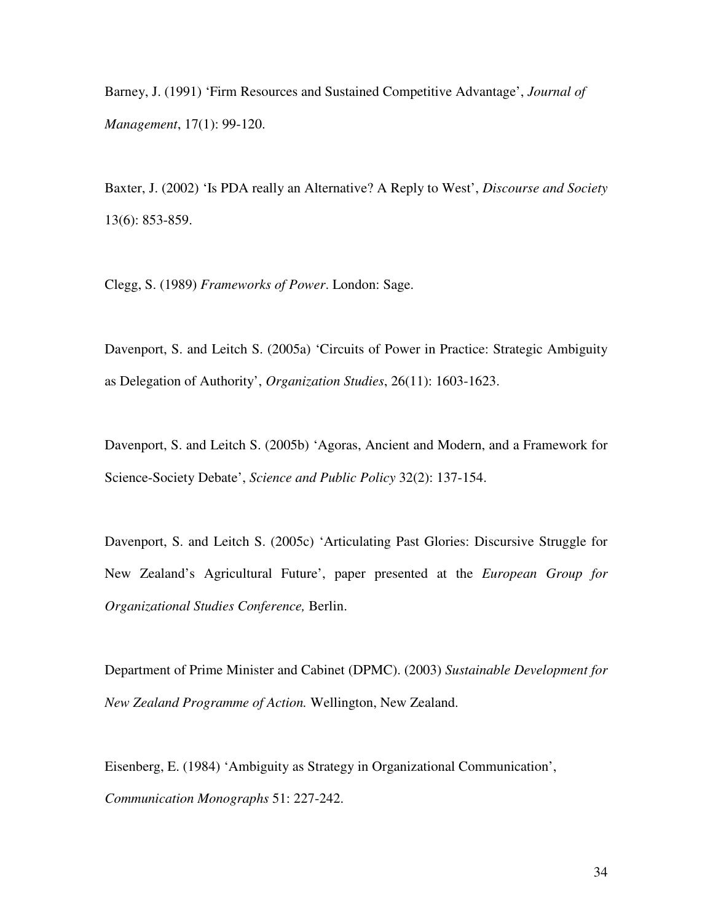Barney, J. (1991) 'Firm Resources and Sustained Competitive Advantage', *Journal of Management*, 17(1): 99-120.

Baxter, J. (2002) 'Is PDA really an Alternative? A Reply to West', *Discourse and Society* 13(6): 853-859.

Clegg, S. (1989) *Frameworks of Power*. London: Sage.

Davenport, S. and Leitch S. (2005a) 'Circuits of Power in Practice: Strategic Ambiguity as Delegation of Authority', *Organization Studies*, 26(11): 1603-1623.

Davenport, S. and Leitch S. (2005b) 'Agoras, Ancient and Modern, and a Framework for Science-Society Debate', *Science and Public Policy* 32(2): 137-154.

Davenport, S. and Leitch S. (2005c) 'Articulating Past Glories: Discursive Struggle for New Zealand's Agricultural Future', paper presented at the *European Group for Organizational Studies Conference,* Berlin.

Department of Prime Minister and Cabinet (DPMC). (2003) *Sustainable Development for New Zealand Programme of Action.* Wellington, New Zealand.

Eisenberg, E. (1984) 'Ambiguity as Strategy in Organizational Communication', *Communication Monographs* 51: 227-242.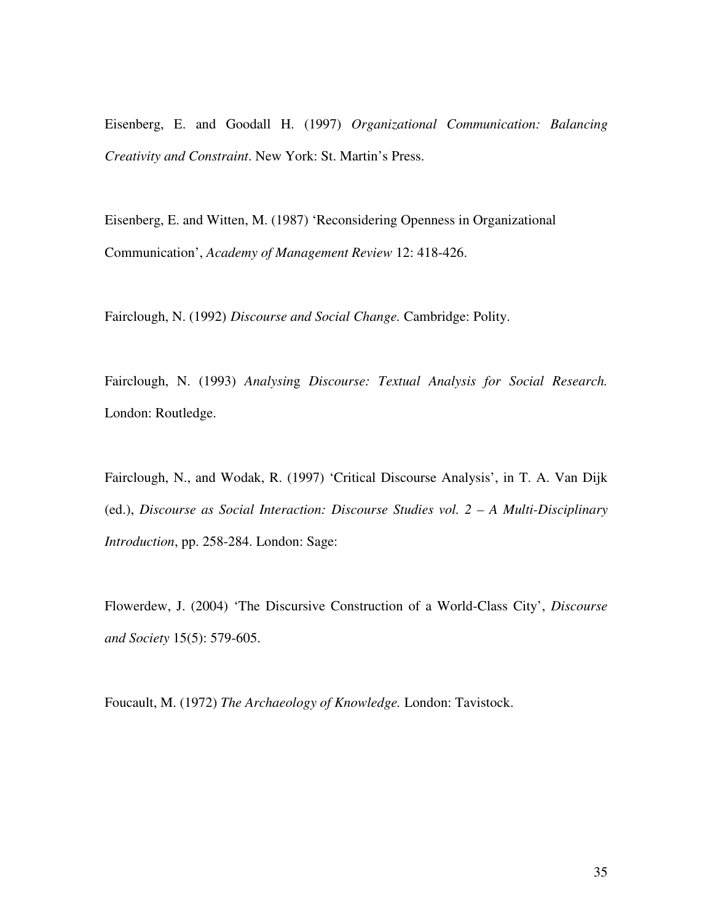Eisenberg, E. and Goodall H. (1997) *Organizational Communication: Balancing Creativity and Constraint*. New York: St. Martin's Press.

Eisenberg, E. and Witten, M. (1987) 'Reconsidering Openness in Organizational Communication', *Academy of Management Review* 12: 418-426.

Fairclough, N. (1992) *Discourse and Social Change.* Cambridge: Polity.

Fairclough, N. (1993) *Analysin*g *Discourse: Textual Analysis for Social Research.* London: Routledge.

Fairclough, N., and Wodak, R. (1997) 'Critical Discourse Analysis', in T. A. Van Dijk (ed.), *Discourse as Social Interaction: Discourse Studies vol. 2 – A Multi-Disciplinary Introduction*, pp. 258-284. London: Sage:

Flowerdew, J. (2004) 'The Discursive Construction of a World-Class City', *Discourse and Society* 15(5): 579-605.

Foucault, M. (1972) *The Archaeology of Knowledge.* London: Tavistock.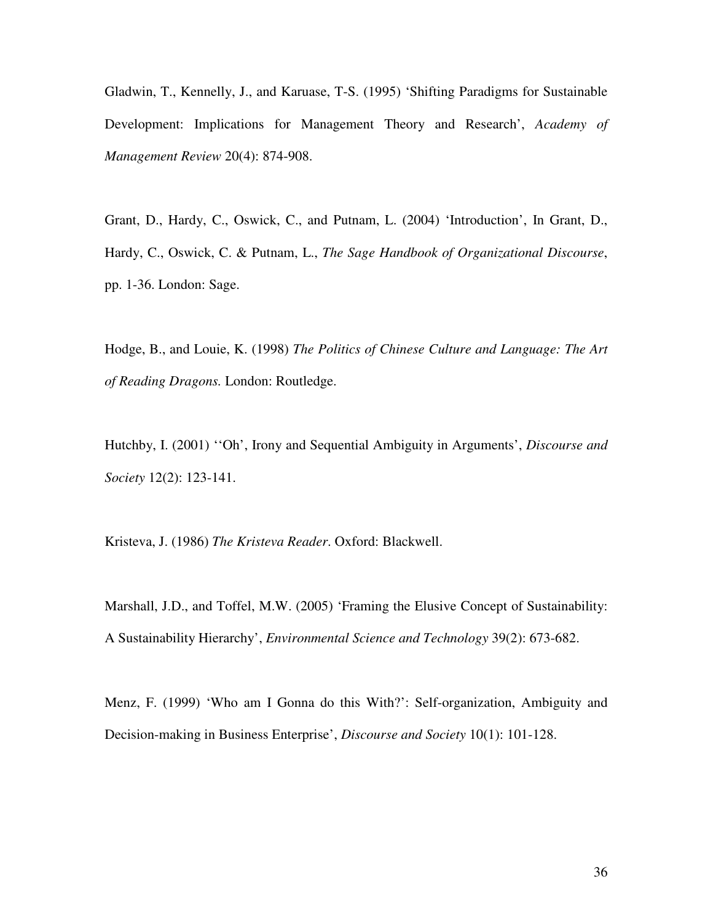Gladwin, T., Kennelly, J., and Karuase, T-S. (1995) 'Shifting Paradigms for Sustainable Development: Implications for Management Theory and Research', *Academy of Management Review* 20(4): 874-908.

Grant, D., Hardy, C., Oswick, C., and Putnam, L. (2004) 'Introduction', In Grant, D., Hardy, C., Oswick, C. & Putnam, L., *The Sage Handbook of Organizational Discourse*, pp. 1-36. London: Sage.

Hodge, B., and Louie, K. (1998) *The Politics of Chinese Culture and Language: The Art of Reading Dragons.* London: Routledge.

Hutchby, I. (2001) ''Oh', Irony and Sequential Ambiguity in Arguments', *Discourse and Society* 12(2): 123-141.

Kristeva, J. (1986) *The Kristeva Reader*. Oxford: Blackwell.

Marshall, J.D., and Toffel, M.W. (2005) 'Framing the Elusive Concept of Sustainability: A Sustainability Hierarchy', *Environmental Science and Technology* 39(2): 673-682.

Menz, F. (1999) 'Who am I Gonna do this With?': Self-organization, Ambiguity and Decision-making in Business Enterprise', *Discourse and Society* 10(1): 101-128.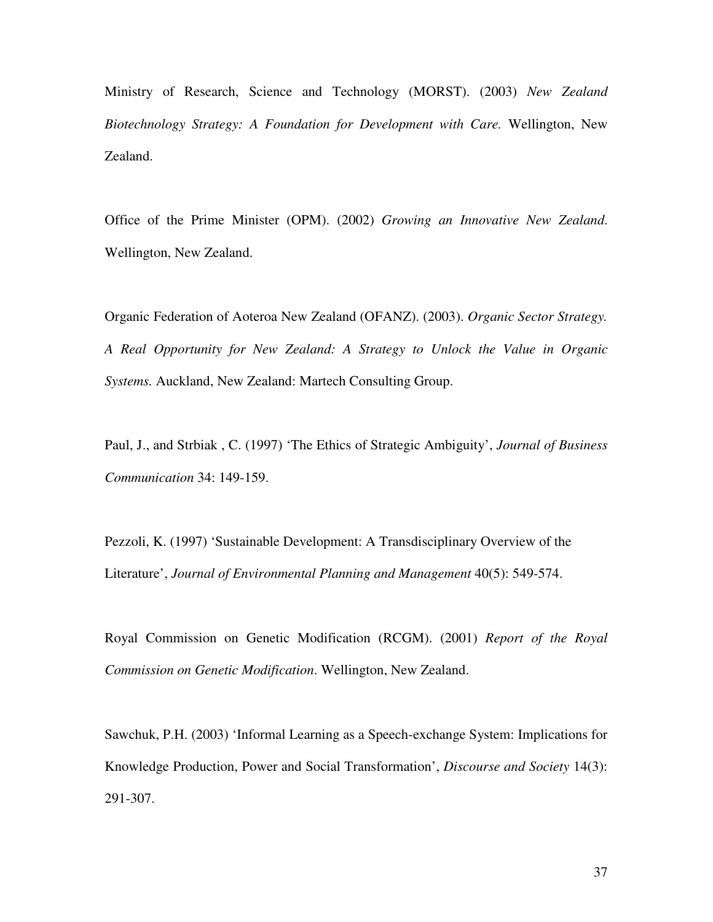Ministry of Research, Science and Technology (MORST). (2003) *New Zealand Biotechnology Strategy: A Foundation for Development with Care.* Wellington, New Zealand.

Office of the Prime Minister (OPM). (2002) *Growing an Innovative New Zealand*. Wellington, New Zealand.

Organic Federation of Aoteroa New Zealand (OFANZ). (2003). *Organic Sector Strategy. A Real Opportunity for New Zealand: A Strategy to Unlock the Value in Organic Systems.* Auckland, New Zealand: Martech Consulting Group.

Paul, J., and Strbiak , C. (1997) 'The Ethics of Strategic Ambiguity', *Journal of Business Communication* 34: 149-159.

Pezzoli, K. (1997) 'Sustainable Development: A Transdisciplinary Overview of the Literature', *Journal of Environmental Planning and Management* 40(5): 549-574.

Royal Commission on Genetic Modification (RCGM). (2001) *Report of the Royal Commission on Genetic Modification*. Wellington, New Zealand.

Sawchuk, P.H. (2003) 'Informal Learning as a Speech-exchange System: Implications for Knowledge Production, Power and Social Transformation', *Discourse and Society* 14(3): 291-307.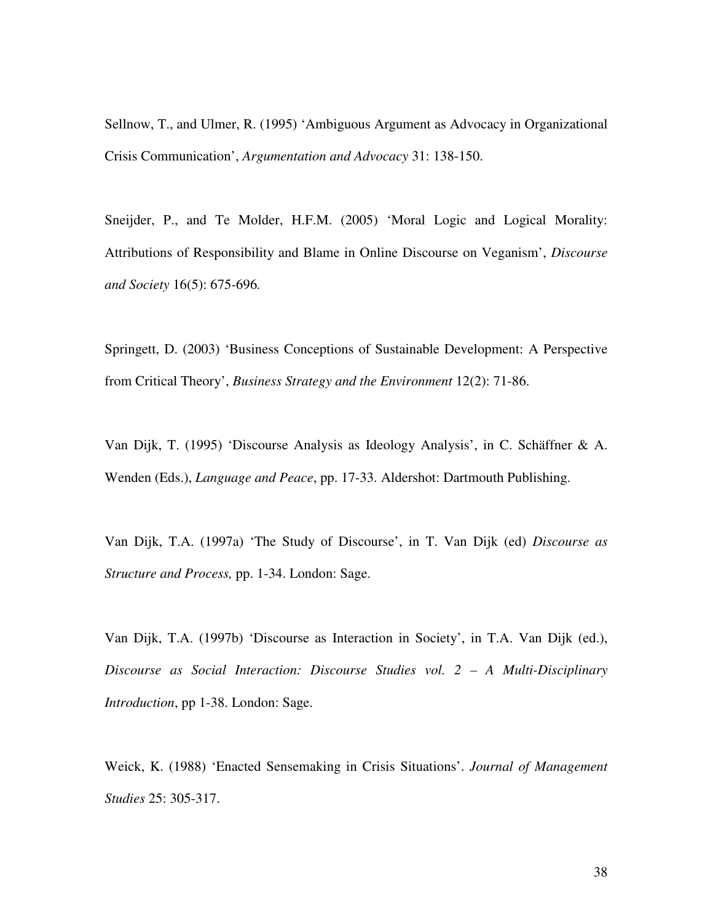Sellnow, T., and Ulmer, R. (1995) 'Ambiguous Argument as Advocacy in Organizational Crisis Communication', *Argumentation and Advocacy* 31: 138-150.

Sneijder, P., and Te Molder, H.F.M. (2005) 'Moral Logic and Logical Morality: Attributions of Responsibility and Blame in Online Discourse on Veganism', *Discourse and Society* 16(5): 675-696*.* 

Springett, D. (2003) 'Business Conceptions of Sustainable Development: A Perspective from Critical Theory', *Business Strategy and the Environment* 12(2): 71-86.

Van Dijk, T. (1995) 'Discourse Analysis as Ideology Analysis', in C. Schäffner & A. Wenden (Eds.), *Language and Peace*, pp. 17-33. Aldershot: Dartmouth Publishing.

Van Dijk, T.A. (1997a) 'The Study of Discourse', in T. Van Dijk (ed) *Discourse as Structure and Process,* pp. 1-34. London: Sage.

Van Dijk, T.A. (1997b) 'Discourse as Interaction in Society', in T.A. Van Dijk (ed.), *Discourse as Social Interaction: Discourse Studies vol. 2 – A Multi-Disciplinary Introduction*, pp 1-38. London: Sage.

Weick, K. (1988) 'Enacted Sensemaking in Crisis Situations'. *Journal of Management Studies* 25: 305-317.